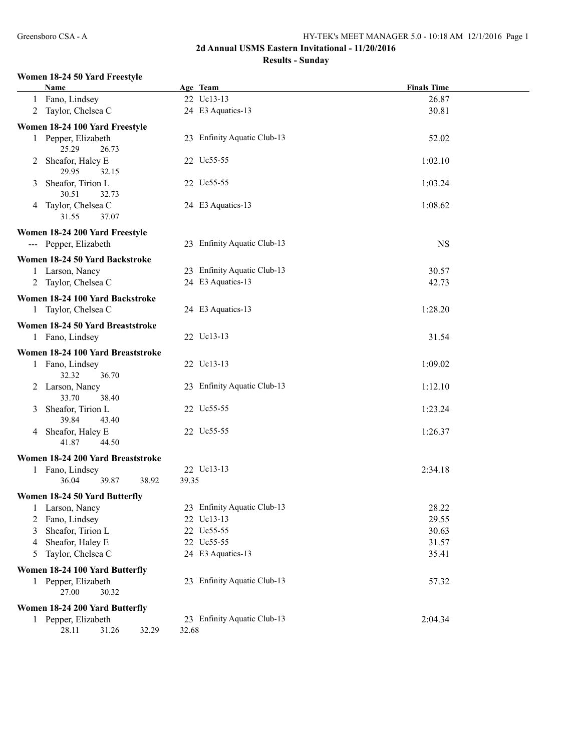## **2d Annual USMS Eastern Invitational - 11/20/2016**

## **Results - Sunday**

#### **Women 18-24 50 Yard Freestyle**

|                | Name                                           |       | Age Team                    | <b>Finals Time</b> |  |
|----------------|------------------------------------------------|-------|-----------------------------|--------------------|--|
|                | 1 Fano, Lindsey                                |       | 22 Uc13-13                  | 26.87              |  |
|                | 2 Taylor, Chelsea C                            |       | 24 E3 Aquatics-13           | 30.81              |  |
|                | Women 18-24 100 Yard Freestyle                 |       |                             |                    |  |
|                | 1 Pepper, Elizabeth<br>25.29<br>26.73          |       | 23 Enfinity Aquatic Club-13 | 52.02              |  |
|                | 2 Sheafor, Haley E<br>29.95<br>32.15           |       | 22 Uc55-55                  | 1:02.10            |  |
| 3              | Sheafor, Tirion L<br>30.51<br>32.73            |       | 22 Uc55-55                  | 1:03.24            |  |
|                | 4 Taylor, Chelsea C<br>31.55<br>37.07          |       | 24 E3 Aquatics-13           | 1:08.62            |  |
|                | Women 18-24 200 Yard Freestyle                 |       |                             |                    |  |
|                | --- Pepper, Elizabeth                          |       | 23 Enfinity Aquatic Club-13 | <b>NS</b>          |  |
|                | Women 18-24 50 Yard Backstroke                 |       |                             |                    |  |
|                | 1 Larson, Nancy                                |       | 23 Enfinity Aquatic Club-13 | 30.57              |  |
|                | 2 Taylor, Chelsea C                            |       | 24 E3 Aquatics-13           | 42.73              |  |
|                | Women 18-24 100 Yard Backstroke                |       |                             |                    |  |
|                | 1 Taylor, Chelsea C                            |       | 24 E3 Aquatics-13           | 1:28.20            |  |
|                | Women 18-24 50 Yard Breaststroke               |       |                             |                    |  |
|                | 1 Fano, Lindsey                                |       | 22 Uc13-13                  | 31.54              |  |
|                | Women 18-24 100 Yard Breaststroke              |       |                             |                    |  |
|                | 1 Fano, Lindsey                                |       | 22 Uc13-13                  | 1:09.02            |  |
|                | 32.32<br>36.70                                 |       |                             |                    |  |
|                | 2 Larson, Nancy<br>33.70<br>38.40              |       | 23 Enfinity Aquatic Club-13 | 1:12.10            |  |
| 3              | Sheafor, Tirion L<br>39.84<br>43.40            |       | 22 Uc55-55                  | 1:23.24            |  |
|                | 4 Sheafor, Haley E<br>41.87<br>44.50           |       | 22 Uc55-55                  | 1:26.37            |  |
|                | Women 18-24 200 Yard Breaststroke              |       |                             |                    |  |
|                | 1 Fano, Lindsey                                |       | 22 Uc13-13                  | 2:34.18            |  |
|                | 36.04<br>39.87<br>38.92                        | 39.35 |                             |                    |  |
|                | Women 18-24 50 Yard Butterfly                  |       |                             |                    |  |
|                | 1 Larson, Nancy                                |       | 23 Enfinity Aquatic Club-13 | 28.22              |  |
| $\mathbf{2}^-$ | Fano, Lindsey                                  |       | 22 Uc13-13                  | 29.55              |  |
| 3              | Sheafor, Tirion L                              |       | 22 Uc55-55                  | 30.63              |  |
| 4              | Sheafor, Haley E                               |       | 22 Uc55-55                  | 31.57              |  |
| 5              | Taylor, Chelsea C                              |       | 24 E3 Aquatics-13           | 35.41              |  |
|                | Women 18-24 100 Yard Butterfly                 |       |                             |                    |  |
|                | 1 Pepper, Elizabeth<br>27.00<br>30.32          |       | 23 Enfinity Aquatic Club-13 | 57.32              |  |
|                | Women 18-24 200 Yard Butterfly                 |       |                             |                    |  |
|                | 1 Pepper, Elizabeth<br>28.11<br>31.26<br>32.29 | 32.68 | 23 Enfinity Aquatic Club-13 | 2:04.34            |  |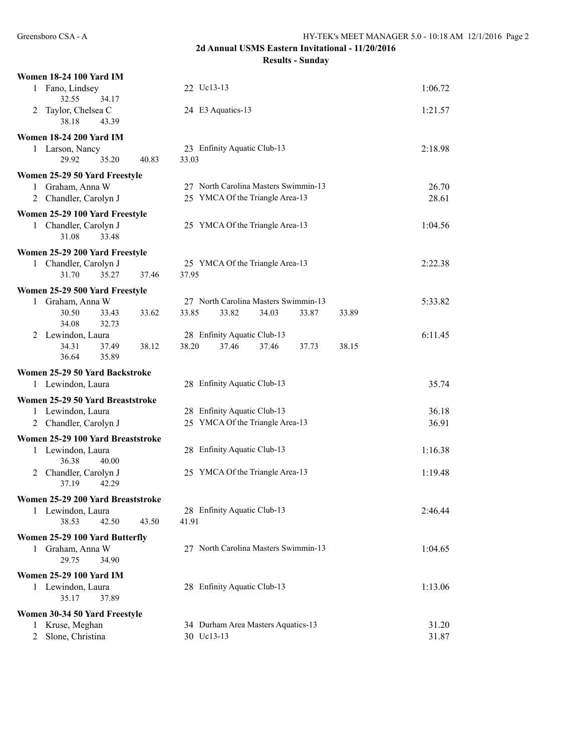# **2d Annual USMS Eastern Invitational - 11/20/2016**

**Results - Sunday**

|   | <b>Women 18-24 100 Yard IM</b>                      |       |            |                                                                |       |       |       |         |
|---|-----------------------------------------------------|-------|------------|----------------------------------------------------------------|-------|-------|-------|---------|
|   | 1 Fano, Lindsey<br>32.55<br>34.17                   |       | 22 Uc13-13 |                                                                |       |       |       | 1:06.72 |
| 2 | Taylor, Chelsea C<br>38.18<br>43.39                 |       |            | 24 E3 Aquatics-13                                              |       |       |       | 1:21.57 |
|   | <b>Women 18-24 200 Yard IM</b>                      |       |            |                                                                |       |       |       |         |
|   | 1 Larson, Nancy<br>29.92<br>35.20                   | 40.83 | 33.03      | 23 Enfinity Aquatic Club-13                                    |       |       |       | 2:18.98 |
|   | Women 25-29 50 Yard Freestyle                       |       |            |                                                                |       |       |       |         |
|   | 1 Graham, Anna W                                    |       |            | 27 North Carolina Masters Swimmin-13                           |       |       |       | 26.70   |
|   | 2 Chandler, Carolyn J                               |       |            | 25 YMCA Of the Triangle Area-13                                |       |       |       | 28.61   |
|   | Women 25-29 100 Yard Freestyle                      |       |            |                                                                |       |       |       |         |
|   | 1 Chandler, Carolyn J<br>31.08<br>33.48             |       |            | 25 YMCA Of the Triangle Area-13                                |       |       |       | 1:04.56 |
|   | Women 25-29 200 Yard Freestyle                      |       |            |                                                                |       |       |       |         |
| 1 | Chandler, Carolyn J                                 |       |            | 25 YMCA Of the Triangle Area-13                                |       |       |       | 2:22.38 |
|   | 31.70<br>35.27                                      | 37.46 | 37.95      |                                                                |       |       |       |         |
|   | Women 25-29 500 Yard Freestyle                      |       |            |                                                                |       |       |       |         |
|   | 1 Graham, Anna W                                    |       |            | 27 North Carolina Masters Swimmin-13                           |       |       |       | 5:33.82 |
|   | 30.50<br>33.43<br>32.73<br>34.08                    | 33.62 | 33.85      | 33.82                                                          | 34.03 | 33.87 | 33.89 |         |
|   | 2 Lewindon, Laura                                   |       |            | 28 Enfinity Aquatic Club-13                                    |       |       |       | 6:11.45 |
|   | 34.31<br>37.49<br>36.64<br>35.89                    | 38.12 | 38.20      | 37.46                                                          | 37.46 | 37.73 | 38.15 |         |
|   |                                                     |       |            |                                                                |       |       |       |         |
|   | Women 25-29 50 Yard Backstroke<br>1 Lewindon, Laura |       |            | 28 Enfinity Aquatic Club-13                                    |       |       |       | 35.74   |
|   |                                                     |       |            |                                                                |       |       |       |         |
|   | Women 25-29 50 Yard Breaststroke                    |       |            |                                                                |       |       |       |         |
|   | 1 Lewindon, Laura                                   |       |            | 28 Enfinity Aquatic Club-13<br>25 YMCA Of the Triangle Area-13 |       |       |       | 36.18   |
|   | 2 Chandler, Carolyn J                               |       |            |                                                                |       |       |       | 36.91   |
|   | Women 25-29 100 Yard Breaststroke                   |       |            |                                                                |       |       |       |         |
|   | 1 Lewindon, Laura<br>36.38<br>40.00                 |       |            | 28 Enfinity Aquatic Club-13                                    |       |       |       | 1:16.38 |
|   | 2 Chandler, Carolyn J<br>37.19<br>42.29             |       |            | 25 YMCA Of the Triangle Area-13                                |       |       |       | 1:19.48 |
|   | Women 25-29 200 Yard Breaststroke                   |       |            |                                                                |       |       |       |         |
|   | 1 Lewindon, Laura<br>38.53<br>42.50                 | 43.50 | 41.91      | 28 Enfinity Aquatic Club-13                                    |       |       |       | 2:46.44 |
|   | Women 25-29 100 Yard Butterfly                      |       |            |                                                                |       |       |       |         |
| 1 | Graham, Anna W<br>29.75<br>34.90                    |       |            | 27 North Carolina Masters Swimmin-13                           |       |       |       | 1:04.65 |
|   | <b>Women 25-29 100 Yard IM</b>                      |       |            |                                                                |       |       |       |         |
|   | 1 Lewindon, Laura<br>37.89<br>35.17                 |       |            | 28 Enfinity Aquatic Club-13                                    |       |       |       | 1:13.06 |
|   | Women 30-34 50 Yard Freestyle                       |       |            |                                                                |       |       |       |         |
|   | 1 Kruse, Meghan                                     |       |            | 34 Durham Area Masters Aquatics-13                             |       |       |       | 31.20   |
|   | 2 Slone, Christina                                  |       | 30 Uc13-13 |                                                                |       |       |       | 31.87   |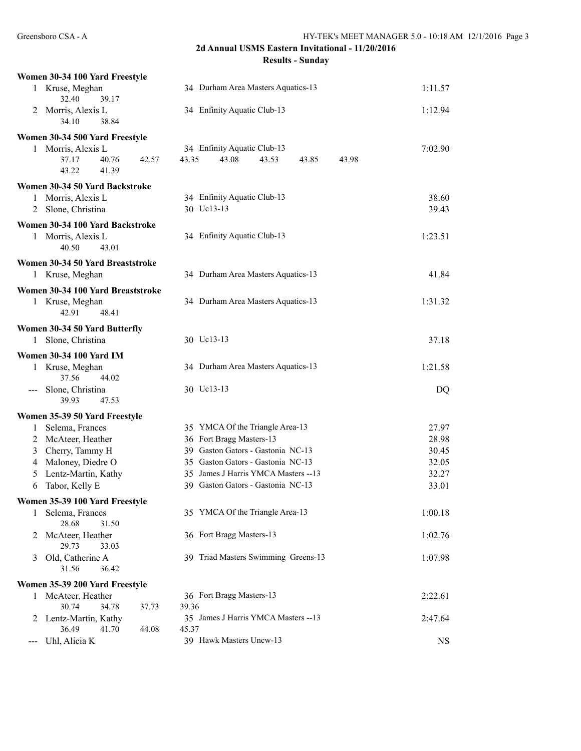| Women 30-34 100 Yard Freestyle            |                                                               |           |
|-------------------------------------------|---------------------------------------------------------------|-----------|
| 1 Kruse, Meghan<br>32.40<br>39.17         | 34 Durham Area Masters Aquatics-13                            | 1:11.57   |
| 2 Morris, Alexis L                        | 34 Enfinity Aquatic Club-13                                   | 1:12.94   |
| 38.84<br>34.10                            |                                                               |           |
| Women 30-34 500 Yard Freestyle            |                                                               |           |
| 1 Morris, Alexis L                        | 34 Enfinity Aquatic Club-13                                   | 7:02.90   |
| 40.76<br>37.17<br>42.57<br>43.22<br>41.39 | 43.35<br>43.08<br>43.53<br>43.85<br>43.98                     |           |
| Women 30-34 50 Yard Backstroke            |                                                               |           |
| Morris, Alexis L<br>1                     | 34 Enfinity Aquatic Club-13                                   | 38.60     |
| Slone, Christina<br>$\overline{2}$        | 30 Uc13-13                                                    | 39.43     |
| Women 30-34 100 Yard Backstroke           |                                                               |           |
| 1 Morris, Alexis L<br>40.50<br>43.01      | 34 Enfinity Aquatic Club-13                                   | 1:23.51   |
|                                           |                                                               |           |
| Women 30-34 50 Yard Breaststroke          |                                                               |           |
| 1 Kruse, Meghan                           | 34 Durham Area Masters Aquatics-13                            | 41.84     |
| Women 30-34 100 Yard Breaststroke         |                                                               |           |
| 1 Kruse, Meghan<br>42.91<br>48.41         | 34 Durham Area Masters Aquatics-13                            | 1:31.32   |
| Women 30-34 50 Yard Butterfly             |                                                               |           |
| Slone, Christina<br>1                     | 30 Uc13-13                                                    | 37.18     |
| <b>Women 30-34 100 Yard IM</b>            |                                                               |           |
| 1 Kruse, Meghan                           | 34 Durham Area Masters Aquatics-13                            | 1:21.58   |
| 37.56<br>44.02                            |                                                               |           |
| Slone, Christina<br>$\qquad \qquad -$     | 30 Uc13-13                                                    | DQ        |
| 47.53<br>39.93                            |                                                               |           |
| Women 35-39 50 Yard Freestyle             |                                                               |           |
| Selema, Frances<br>1                      | 35 YMCA Of the Triangle Area-13                               | 27.97     |
| McAteer, Heather<br>$\overline{2}$        | 36 Fort Bragg Masters-13<br>39 Gaston Gators - Gastonia NC-13 | 28.98     |
| Cherry, Tammy H<br>$\mathfrak{Z}$         |                                                               | 30.45     |
| Maloney, Diedre O<br>4                    | 35 Gaston Gators - Gastonia NC-13                             | 32.05     |
| Lentz-Martin, Kathy<br>5                  | 35 James J Harris YMCA Masters -- 13                          | 32.27     |
| Tabor, Kelly E<br>6                       | 39 Gaston Gators - Gastonia NC-13                             | 33.01     |
| Women 35-39 100 Yard Freestyle            |                                                               |           |
| Selema, Frances<br>1<br>28.68<br>31.50    | 35 YMCA Of the Triangle Area-13                               | 1:00.18   |
| McAteer, Heather<br>2                     | 36 Fort Bragg Masters-13                                      | 1:02.76   |
| 29.73<br>33.03                            |                                                               |           |
| Old, Catherine A<br>3<br>31.56<br>36.42   | 39 Triad Masters Swimming Greens-13                           | 1:07.98   |
| Women 35-39 200 Yard Freestyle            |                                                               |           |
| McAteer, Heather<br>1                     | 36 Fort Bragg Masters-13                                      | 2:22.61   |
| 30.74<br>34.78<br>37.73                   | 39.36                                                         |           |
| Lentz-Martin, Kathy<br>2                  | 35 James J Harris YMCA Masters -- 13                          | 2:47.64   |
| 36.49<br>41.70<br>44.08                   | 45.37                                                         |           |
| Uhl, Alicia K                             | 39 Hawk Masters Uncw-13                                       | <b>NS</b> |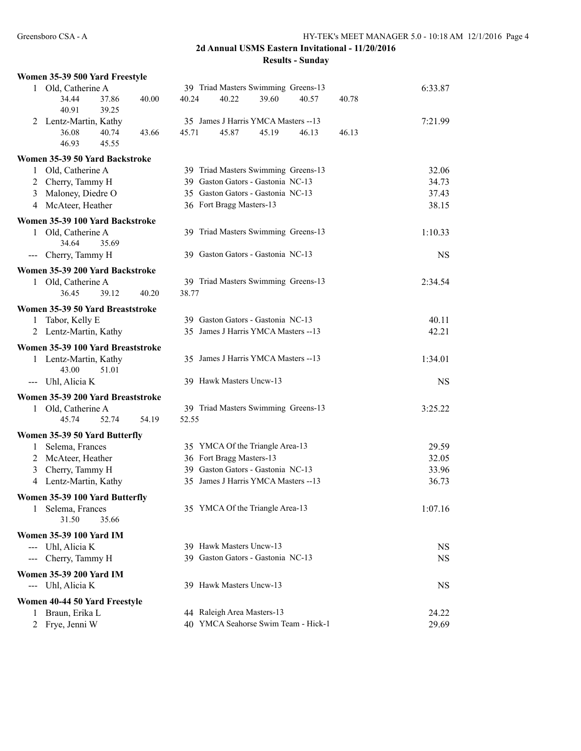|   | Women 35-39 500 Yard Freestyle          |       |       |                                      |       |       |       |           |
|---|-----------------------------------------|-------|-------|--------------------------------------|-------|-------|-------|-----------|
|   | 1 Old, Catherine A                      |       |       | 39 Triad Masters Swimming Greens-13  |       |       |       | 6:33.87   |
|   | 34.44<br>37.86<br>39.25<br>40.91        | 40.00 | 40.24 | 40.22                                | 39.60 | 40.57 | 40.78 |           |
|   | 2 Lentz-Martin, Kathy                   |       |       | 35 James J Harris YMCA Masters -- 13 |       |       |       | 7:21.99   |
|   | 40.74<br>36.08<br>46.93<br>45.55        | 43.66 | 45.71 | 45.87                                | 45.19 | 46.13 | 46.13 |           |
|   | Women 35-39 50 Yard Backstroke          |       |       |                                      |       |       |       |           |
|   | Old, Catherine A                        |       |       | 39 Triad Masters Swimming Greens-13  |       |       |       | 32.06     |
|   | 2 Cherry, Tammy H                       |       |       | 39 Gaston Gators - Gastonia NC-13    |       |       |       | 34.73     |
|   | 3 Maloney, Diedre O                     |       |       | 35 Gaston Gators - Gastonia NC-13    |       |       |       | 37.43     |
|   | 4 McAteer, Heather                      |       |       | 36 Fort Bragg Masters-13             |       |       |       | 38.15     |
|   | Women 35-39 100 Yard Backstroke         |       |       |                                      |       |       |       |           |
|   | 1 Old, Catherine A<br>34.64<br>35.69    |       |       | 39 Triad Masters Swimming Greens-13  |       |       |       | 1:10.33   |
|   | --- Cherry, Tammy H                     |       |       | 39 Gaston Gators - Gastonia NC-13    |       |       |       | <b>NS</b> |
|   | Women 35-39 200 Yard Backstroke         |       |       |                                      |       |       |       |           |
|   | 1 Old, Catherine A                      |       |       | 39 Triad Masters Swimming Greens-13  |       |       |       | 2:34.54   |
|   | 39.12<br>36.45                          | 40.20 | 38.77 |                                      |       |       |       |           |
|   | Women 35-39 50 Yard Breaststroke        |       |       |                                      |       |       |       |           |
|   | 1 Tabor, Kelly E                        |       |       | 39 Gaston Gators - Gastonia NC-13    |       |       |       | 40.11     |
|   | 2 Lentz-Martin, Kathy                   |       |       | 35 James J Harris YMCA Masters -- 13 |       |       |       | 42.21     |
|   | Women 35-39 100 Yard Breaststroke       |       |       |                                      |       |       |       |           |
|   | 1 Lentz-Martin, Kathy<br>43.00<br>51.01 |       |       | 35 James J Harris YMCA Masters --13  |       |       |       | 1:34.01   |
|   | --- Uhl, Alicia K                       |       |       | 39 Hawk Masters Uncw-13              |       |       |       | <b>NS</b> |
|   | Women 35-39 200 Yard Breaststroke       |       |       |                                      |       |       |       |           |
|   | 1 Old, Catherine A                      |       |       | 39 Triad Masters Swimming Greens-13  |       |       |       | 3:25.22   |
|   | 45.74<br>52.74                          | 54.19 | 52.55 |                                      |       |       |       |           |
|   | Women 35-39 50 Yard Butterfly           |       |       |                                      |       |       |       |           |
|   | 1 Selema, Frances                       |       |       | 35 YMCA Of the Triangle Area-13      |       |       |       | 29.59     |
|   | 2 McAteer, Heather                      |       |       | 36 Fort Bragg Masters-13             |       |       |       | 32.05     |
|   | 3 Cherry, Tammy H                       |       |       | 39 Gaston Gators - Gastonia NC-13    |       |       |       | 33.96     |
|   | 4 Lentz-Martin, Kathy                   |       |       | 35 James J Harris YMCA Masters -- 13 |       |       |       | 36.73     |
|   | Women 35-39 100 Yard Butterfly          |       |       |                                      |       |       |       |           |
|   | 1 Selema, Frances<br>31.50<br>35.66     |       |       | 35 YMCA Of the Triangle Area-13      |       |       |       | 1:07.16   |
|   | <b>Women 35-39 100 Yard IM</b>          |       |       |                                      |       |       |       |           |
|   | --- Uhl, Alicia K                       |       |       | 39 Hawk Masters Uncw-13              |       |       |       | NS.       |
|   | --- Cherry, Tammy H                     |       |       | 39 Gaston Gators - Gastonia NC-13    |       |       |       | <b>NS</b> |
|   | <b>Women 35-39 200 Yard IM</b>          |       |       |                                      |       |       |       |           |
|   | --- Uhl, Alicia K                       |       |       | 39 Hawk Masters Uncw-13              |       |       |       | NS        |
|   | Women 40-44 50 Yard Freestyle           |       |       |                                      |       |       |       |           |
| 1 | Braun, Erika L                          |       |       | 44 Raleigh Area Masters-13           |       |       |       | 24.22     |
|   | Frye, Jenni W                           |       |       | 40 YMCA Seahorse Swim Team - Hick-1  |       |       |       | 29.69     |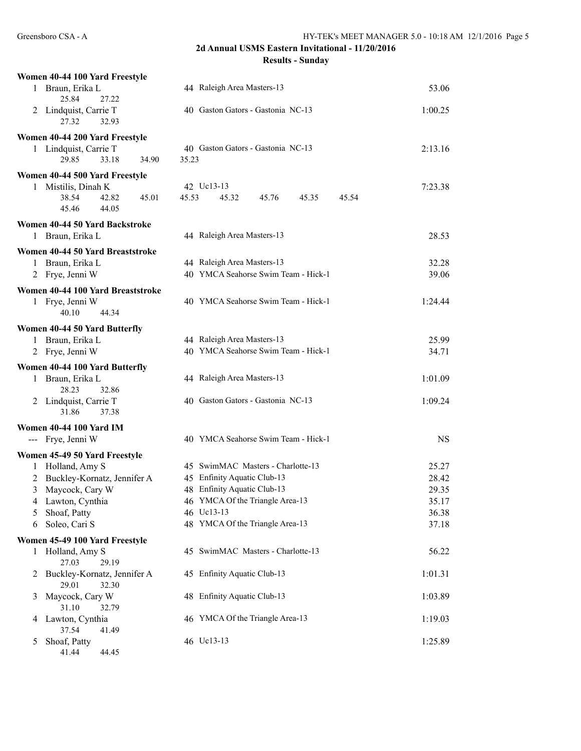| Women 40-44 100 Yard Freestyle                     |                                           |           |
|----------------------------------------------------|-------------------------------------------|-----------|
| 1 Braun, Erika L<br>25.84<br>27.22                 | 44 Raleigh Area Masters-13                | 53.06     |
| 2 Lindquist, Carrie T<br>27.32<br>32.93            | 40 Gaston Gators - Gastonia NC-13         | 1:00.25   |
| Women 40-44 200 Yard Freestyle                     |                                           |           |
| 1 Lindquist, Carrie T                              | 40 Gaston Gators - Gastonia NC-13         | 2:13.16   |
| 29.85<br>33.18<br>34.90                            | 35.23                                     |           |
| Women 40-44 500 Yard Freestyle                     |                                           |           |
| 1 Mistilis, Dinah K                                | 42 Uc13-13                                | 7:23.38   |
| 38.54<br>42.82<br>45.01<br>45.46<br>44.05          | 45.53<br>45.32<br>45.76<br>45.35<br>45.54 |           |
| Women 40-44 50 Yard Backstroke                     |                                           |           |
| 1 Braun, Erika L                                   | 44 Raleigh Area Masters-13                | 28.53     |
| Women 40-44 50 Yard Breaststroke                   |                                           |           |
| 1 Braun, Erika L                                   | 44 Raleigh Area Masters-13                | 32.28     |
| 2 Frye, Jenni W                                    | 40 YMCA Seahorse Swim Team - Hick-1       | 39.06     |
| Women 40-44 100 Yard Breaststroke                  |                                           |           |
| 1 Frye, Jenni W                                    | 40 YMCA Seahorse Swim Team - Hick-1       | 1:24.44   |
| 40.10<br>44.34                                     |                                           |           |
| Women 40-44 50 Yard Butterfly                      |                                           |           |
| 1 Braun, Erika L                                   | 44 Raleigh Area Masters-13                | 25.99     |
| 2 Frye, Jenni W                                    | 40 YMCA Seahorse Swim Team - Hick-1       | 34.71     |
| Women 40-44 100 Yard Butterfly                     |                                           |           |
| Braun, Erika L<br>1<br>28.23<br>32.86              | 44 Raleigh Area Masters-13                | 1:01.09   |
| 2 Lindquist, Carrie T<br>31.86<br>37.38            | 40 Gaston Gators - Gastonia NC-13         | 1:09.24   |
| <b>Women 40-44 100 Yard IM</b>                     |                                           |           |
| --- Frye, Jenni W                                  | 40 YMCA Seahorse Swim Team - Hick-1       | <b>NS</b> |
| Women 45-49 50 Yard Freestyle                      |                                           |           |
| Holland, Amy S<br>$\mathbf{1}$                     | 45 SwimMAC Masters - Charlotte-13         | 25.27     |
| Buckley-Kornatz, Jennifer A<br>2                   | 45 Enfinity Aquatic Club-13               | 28.42     |
| 3<br>Maycock, Cary W                               | 48 Enfinity Aquatic Club-13               | 29.35     |
| Lawton, Cynthia<br>4                               | 46 YMCA Of the Triangle Area-13           | 35.17     |
| Shoaf, Patty<br>5                                  | 46 Uc13-13                                | 36.38     |
| Soleo, Cari S<br>6                                 | 48 YMCA Of the Triangle Area-13           | 37.18     |
| Women 45-49 100 Yard Freestyle                     |                                           |           |
| Holland, Amy S<br>1                                | 45 SwimMAC Masters - Charlotte-13         | 56.22     |
| 27.03<br>29.19<br>Buckley-Kornatz, Jennifer A<br>2 | 45 Enfinity Aquatic Club-13               | 1:01.31   |
| 29.01<br>32.30                                     |                                           |           |
| Maycock, Cary W<br>3                               | 48 Enfinity Aquatic Club-13               | 1:03.89   |
| 31.10<br>32.79                                     | 46 YMCA Of the Triangle Area-13           | 1:19.03   |
| Lawton, Cynthia<br>4<br>37.54<br>41.49             |                                           |           |
| Shoaf, Patty<br>5                                  | 46 Uc13-13                                | 1:25.89   |
| 41.44<br>44.45                                     |                                           |           |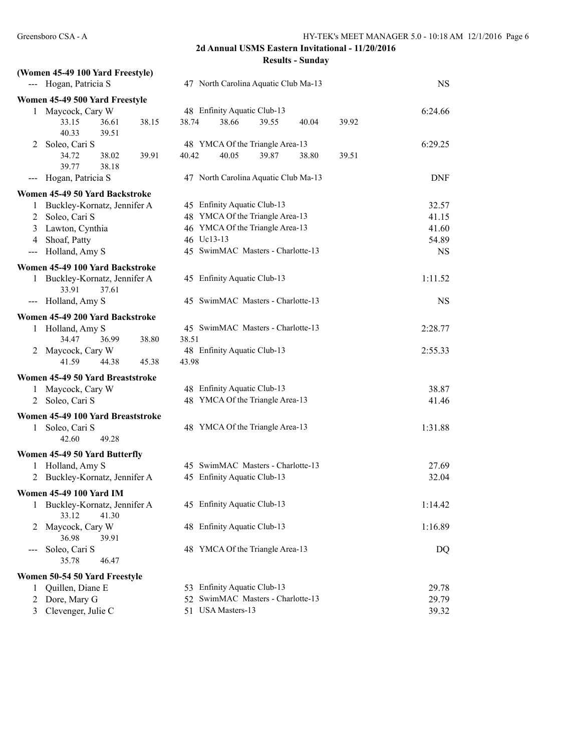|                            | (Women 45-49 100 Yard Freestyle)                |       |       |                                      |       |       |       |            |
|----------------------------|-------------------------------------------------|-------|-------|--------------------------------------|-------|-------|-------|------------|
|                            | --- Hogan, Patricia S                           |       |       | 47 North Carolina Aquatic Club Ma-13 |       |       |       | <b>NS</b>  |
|                            | Women 45-49 500 Yard Freestyle                  |       |       |                                      |       |       |       |            |
|                            | 1 Maycock, Cary W                               |       |       | 48 Enfinity Aquatic Club-13          |       |       |       | 6:24.66    |
|                            | 33.15<br>36.61<br>40.33<br>39.51                | 38.15 | 38.74 | 38.66                                | 39.55 | 40.04 | 39.92 |            |
| 2                          | Soleo, Cari S                                   |       |       | 48 YMCA Of the Triangle Area-13      |       |       |       | 6:29.25    |
|                            | 34.72<br>38.02<br>39.77<br>38.18                | 39.91 | 40.42 | 40.05                                | 39.87 | 38.80 | 39.51 |            |
| $\qquad \qquad \text{---}$ | Hogan, Patricia S                               |       |       | 47 North Carolina Aquatic Club Ma-13 |       |       |       | <b>DNF</b> |
|                            | Women 45-49 50 Yard Backstroke                  |       |       |                                      |       |       |       |            |
| 1                          | Buckley-Kornatz, Jennifer A                     |       |       | 45 Enfinity Aquatic Club-13          |       |       |       | 32.57      |
|                            | 2 Soleo, Cari S                                 |       |       | 48 YMCA Of the Triangle Area-13      |       |       |       | 41.15      |
|                            | 3 Lawton, Cynthia                               |       |       | 46 YMCA Of the Triangle Area-13      |       |       |       | 41.60      |
| 4                          | Shoaf, Patty                                    |       |       | 46 Uc13-13                           |       |       |       | 54.89      |
| $\frac{1}{2}$              | Holland, Amy S                                  |       |       | 45 SwimMAC Masters - Charlotte-13    |       |       |       | <b>NS</b>  |
|                            | Women 45-49 100 Yard Backstroke                 |       |       |                                      |       |       |       |            |
|                            | 1 Buckley-Kornatz, Jennifer A<br>33.91<br>37.61 |       |       | 45 Enfinity Aquatic Club-13          |       |       |       | 1:11.52    |
|                            | --- Holland, Amy S                              |       |       | 45 SwimMAC Masters - Charlotte-13    |       |       |       | <b>NS</b>  |
|                            | Women 45-49 200 Yard Backstroke                 |       |       |                                      |       |       |       |            |
|                            | 1 Holland, Amy S                                |       |       | 45 SwimMAC Masters - Charlotte-13    |       |       |       | 2:28.77    |
|                            | 34.47<br>36.99                                  | 38.80 | 38.51 |                                      |       |       |       |            |
|                            | 2 Maycock, Cary W                               |       |       | 48 Enfinity Aquatic Club-13          |       |       |       | 2:55.33    |
|                            | 41.59<br>44.38                                  | 45.38 | 43.98 |                                      |       |       |       |            |
|                            | Women 45-49 50 Yard Breaststroke                |       |       |                                      |       |       |       |            |
| 1                          | Maycock, Cary W                                 |       |       | 48 Enfinity Aquatic Club-13          |       |       |       | 38.87      |
| 2                          | Soleo, Cari S                                   |       |       | 48 YMCA Of the Triangle Area-13      |       |       |       | 41.46      |
|                            | Women 45-49 100 Yard Breaststroke               |       |       |                                      |       |       |       |            |
| 1                          | Soleo, Cari S<br>42.60<br>49.28                 |       |       | 48 YMCA Of the Triangle Area-13      |       |       |       | 1:31.88    |
|                            | Women 45-49 50 Yard Butterfly                   |       |       |                                      |       |       |       |            |
|                            | 1 Holland, Amy S                                |       |       | 45 SwimMAC Masters - Charlotte-13    |       |       |       | 27.69      |
|                            | 2 Buckley-Kornatz, Jennifer A                   |       |       | 45 Enfinity Aquatic Club-13          |       |       |       | 32.04      |
|                            | <b>Women 45-49 100 Yard IM</b>                  |       |       |                                      |       |       |       |            |
|                            | 1 Buckley-Kornatz, Jennifer A<br>33.12<br>41.30 |       |       | 45 Enfinity Aquatic Club-13          |       |       |       | 1:14.42    |
| 2                          | Maycock, Cary W<br>36.98<br>39.91               |       |       | 48 Enfinity Aquatic Club-13          |       |       |       | 1:16.89    |
| $--$                       | Soleo, Cari S<br>35.78<br>46.47                 |       |       | 48 YMCA Of the Triangle Area-13      |       |       |       | DQ         |
|                            | Women 50-54 50 Yard Freestyle                   |       |       |                                      |       |       |       |            |
| 1                          | Quillen, Diane E                                |       |       | 53 Enfinity Aquatic Club-13          |       |       |       | 29.78      |
| 2                          | Dore, Mary G                                    |       | 52    | SwimMAC Masters - Charlotte-13       |       |       |       | 29.79      |
| 3                          | Clevenger, Julie C                              |       |       | 51 USA Masters-13                    |       |       |       | 39.32      |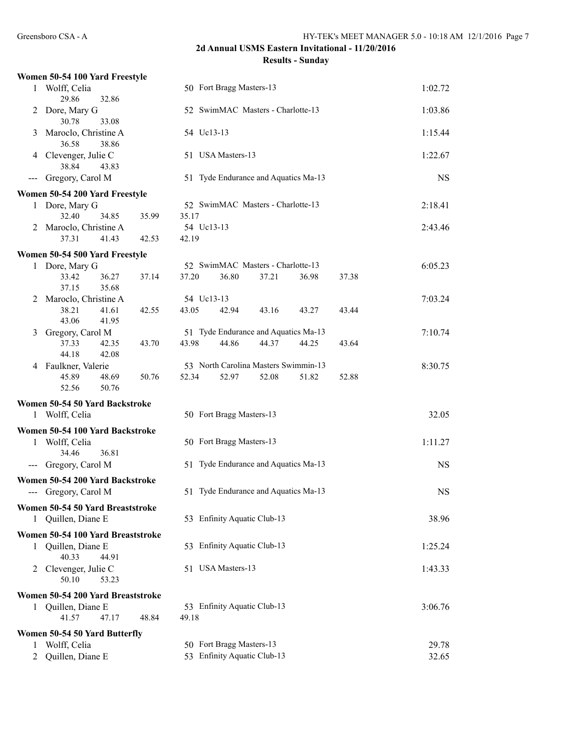|                   | Women 50-54 100 Yard Freestyle                          |                                                         |           |
|-------------------|---------------------------------------------------------|---------------------------------------------------------|-----------|
| 1                 | Wolff, Celia<br>29.86<br>32.86                          | 50 Fort Bragg Masters-13                                | 1:02.72   |
| 2                 | Dore, Mary G<br>30.78<br>33.08                          | 52 SwimMAC Masters - Charlotte-13                       | 1:03.86   |
| 3                 | Maroclo, Christine A<br>36.58<br>38.86                  | 54 Uc13-13                                              | 1:15.44   |
| 4                 | Clevenger, Julie C<br>38.84<br>43.83                    | 51 USA Masters-13                                       | 1:22.67   |
|                   | Gregory, Carol M                                        | 51 Tyde Endurance and Aquatics Ma-13                    | <b>NS</b> |
|                   | Women 50-54 200 Yard Freestyle                          |                                                         |           |
|                   | 1 Dore, Mary G                                          | 52 SwimMAC Masters - Charlotte-13                       | 2:18.41   |
|                   | 32.40<br>34.85<br>35.99                                 | 35.17                                                   |           |
|                   | 2 Maroclo, Christine A                                  | 54 Uc13-13                                              | 2:43.46   |
|                   | 37.31<br>41.43<br>42.53                                 | 42.19                                                   |           |
|                   | Women 50-54 500 Yard Freestyle                          |                                                         |           |
|                   | 1 Dore, Mary G                                          | 52 SwimMAC Masters - Charlotte-13                       | 6:05.23   |
|                   | 33.42<br>36.27<br>37.14                                 | 37.20<br>36.80<br>37.21<br>36.98<br>37.38               |           |
|                   | 37.15<br>35.68                                          |                                                         |           |
| 2                 | Maroclo, Christine A<br>38.21<br>41.61<br>42.55         | 54 Uc13-13<br>43.05<br>42.94<br>43.16<br>43.27<br>43.44 | 7:03.24   |
|                   | 43.06<br>41.95                                          |                                                         |           |
| 3                 | Gregory, Carol M                                        | 51 Tyde Endurance and Aquatics Ma-13                    | 7:10.74   |
|                   | 37.33<br>42.35<br>43.70                                 | 43.98<br>44.37<br>44.86<br>44.25<br>43.64               |           |
|                   | 44.18<br>42.08                                          |                                                         |           |
| 4                 | Faulkner, Valerie                                       | 53 North Carolina Masters Swimmin-13                    | 8:30.75   |
|                   | 45.89<br>50.76<br>48.69<br>50.76<br>52.56               | 52.34<br>52.08<br>52.97<br>51.82<br>52.88               |           |
|                   | Women 50-54 50 Yard Backstroke                          |                                                         |           |
|                   |                                                         |                                                         |           |
|                   | 1 Wolff, Celia                                          | 50 Fort Bragg Masters-13                                | 32.05     |
|                   | Women 50-54 100 Yard Backstroke                         |                                                         |           |
| 1                 | Wolff, Celia                                            | 50 Fort Bragg Masters-13                                | 1:11.27   |
|                   | 34.46<br>36.81                                          |                                                         |           |
| $\qquad \qquad -$ | Gregory, Carol M                                        | 51 Tyde Endurance and Aquatics Ma-13                    | <b>NS</b> |
|                   | Women 50-54 200 Yard Backstroke<br>--- Gregory, Carol M | 51 Tyde Endurance and Aquatics Ma-13                    | <b>NS</b> |
| 1                 | Women 50-54 50 Yard Breaststroke<br>Quillen, Diane E    | 53 Enfinity Aquatic Club-13                             | 38.96     |
|                   | Women 50-54 100 Yard Breaststroke                       |                                                         |           |
|                   | 1 Quillen, Diane E                                      | 53 Enfinity Aquatic Club-13                             | 1:25.24   |
| 2                 | 40.33<br>44.91<br>Clevenger, Julie C<br>50.10<br>53.23  | 51 USA Masters-13                                       | 1:43.33   |
|                   |                                                         |                                                         |           |
|                   | Women 50-54 200 Yard Breaststroke                       | 53 Enfinity Aquatic Club-13                             | 3:06.76   |
|                   | 1 Quillen, Diane E<br>41.57<br>47.17<br>48.84           | 49.18                                                   |           |
|                   |                                                         |                                                         |           |
| 1                 | Women 50-54 50 Yard Butterfly<br>Wolff, Celia           | 50 Fort Bragg Masters-13                                | 29.78     |
| 2                 | Quillen, Diane E                                        | 53 Enfinity Aquatic Club-13                             | 32.65     |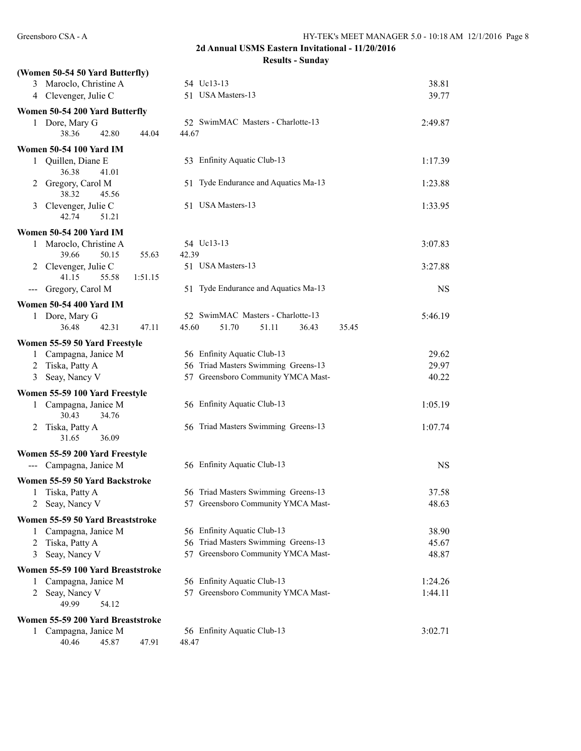# **2d Annual USMS Eastern Invitational - 11/20/2016**

**Results - Sunday**

|     | (Women 50-54 50 Yard Butterfly)      |                |                                      |           |
|-----|--------------------------------------|----------------|--------------------------------------|-----------|
|     | 3 Maroclo, Christine A               |                | 54 Uc13-13                           | 38.81     |
|     | 4 Clevenger, Julie C                 |                | 51 USA Masters-13                    | 39.77     |
|     | Women 50-54 200 Yard Butterfly       |                |                                      |           |
|     | 1 Dore, Mary G                       |                | 52 SwimMAC Masters - Charlotte-13    | 2:49.87   |
|     | 38.36<br>42.80                       | 44.67<br>44.04 |                                      |           |
|     | <b>Women 50-54 100 Yard IM</b>       |                |                                      |           |
| 1   | Quillen, Diane E                     |                | 53 Enfinity Aquatic Club-13          | 1:17.39   |
|     | 36.38<br>41.01                       |                |                                      |           |
| 2   | Gregory, Carol M<br>38.32<br>45.56   |                | 51 Tyde Endurance and Aquatics Ma-13 | 1:23.88   |
| 3   | Clevenger, Julie C                   |                | 51 USA Masters-13                    | 1:33.95   |
|     | 42.74<br>51.21                       |                |                                      |           |
|     | <b>Women 50-54 200 Yard IM</b>       |                |                                      |           |
|     | 1 Maroclo, Christine A               |                | 54 Uc13-13                           | 3:07.83   |
|     | 39.66<br>50.15                       | 55.63<br>42.39 |                                      |           |
|     | 2 Clevenger, Julie C                 |                | 51 USA Masters-13                    | 3:27.88   |
|     | 41.15<br>55.58                       | 1:51.15        |                                      |           |
| --- | Gregory, Carol M                     |                | 51 Tyde Endurance and Aquatics Ma-13 | <b>NS</b> |
|     | <b>Women 50-54 400 Yard IM</b>       |                |                                      |           |
|     | 1 Dore, Mary G                       |                | 52 SwimMAC Masters - Charlotte-13    | 5:46.19   |
|     | 36.48<br>42.31                       | 45.60<br>47.11 | 51.70<br>51.11<br>36.43<br>35.45     |           |
|     | Women 55-59 50 Yard Freestyle        |                |                                      |           |
| 1   | Campagna, Janice M                   |                | 56 Enfinity Aquatic Club-13          | 29.62     |
|     | 2 Tiska, Patty A                     |                | 56 Triad Masters Swimming Greens-13  | 29.97     |
| 3   | Seay, Nancy V                        |                | 57 Greensboro Community YMCA Mast-   | 40.22     |
|     | Women 55-59 100 Yard Freestyle       |                |                                      |           |
| 1   | Campagna, Janice M<br>30.43<br>34.76 |                | 56 Enfinity Aquatic Club-13          | 1:05.19   |
| 2   | Tiska, Patty A<br>31.65<br>36.09     |                | 56 Triad Masters Swimming Greens-13  | 1:07.74   |
|     | Women 55-59 200 Yard Freestyle       |                |                                      |           |
|     | --- Campagna, Janice M               |                | 56 Enfinity Aquatic Club-13          | NS        |
|     | Women 55-59 50 Yard Backstroke       |                |                                      |           |
|     | 1 Tiska, Patty A                     |                | 56 Triad Masters Swimming Greens-13  | 37.58     |
|     | 2 Seay, Nancy V                      |                | 57 Greensboro Community YMCA Mast-   | 48.63     |
|     | Women 55-59 50 Yard Breaststroke     |                |                                      |           |
| 1   | Campagna, Janice M                   |                | 56 Enfinity Aquatic Club-13          | 38.90     |
| 2   | Tiska, Patty A                       |                | 56 Triad Masters Swimming Greens-13  | 45.67     |
| 3   | Seay, Nancy V                        |                | 57 Greensboro Community YMCA Mast-   | 48.87     |
|     | Women 55-59 100 Yard Breaststroke    |                |                                      |           |
| 1   | Campagna, Janice M                   |                | 56 Enfinity Aquatic Club-13          | 1:24.26   |
| 2   | Seay, Nancy V                        |                | 57 Greensboro Community YMCA Mast-   | 1:44.11   |
|     | 49.99<br>54.12                       |                |                                      |           |
|     | Women 55-59 200 Yard Breaststroke    |                |                                      |           |
|     | 1 Campagna, Janice M                 |                | 56 Enfinity Aquatic Club-13          | 3:02.71   |
|     | 40.46<br>45.87                       | 48.47<br>47.91 |                                      |           |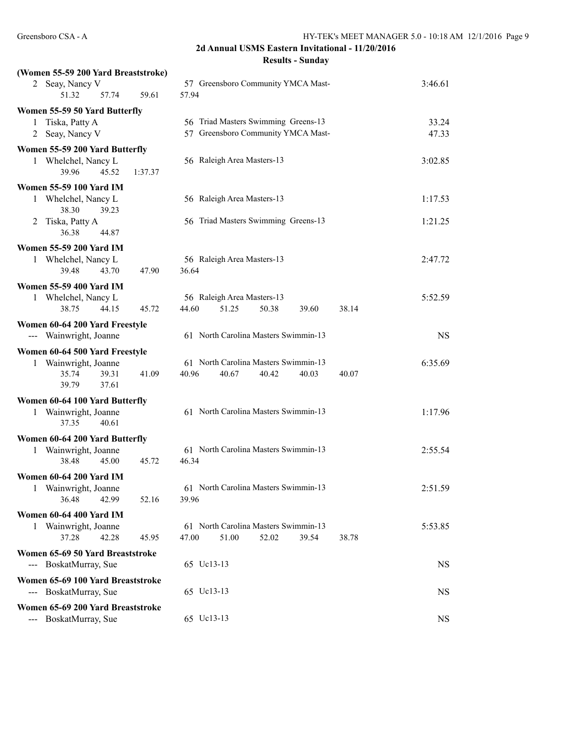| (Women 55-59 200 Yard Breaststroke)                        |                                                                                   |           |
|------------------------------------------------------------|-----------------------------------------------------------------------------------|-----------|
| 2 Seay, Nancy V<br>51.32<br>57.74<br>59.61                 | 57 Greensboro Community YMCA Mast-<br>57.94                                       | 3:46.61   |
| Women 55-59 50 Yard Butterfly                              |                                                                                   |           |
| Tiska, Patty A<br>1                                        | 56 Triad Masters Swimming Greens-13                                               | 33.24     |
| 2 Seay, Nancy V                                            | 57 Greensboro Community YMCA Mast-                                                | 47.33     |
| Women 55-59 200 Yard Butterfly                             |                                                                                   |           |
| Whelchel, Nancy L<br>1<br>39.96<br>45.52<br>1:37.37        | 56 Raleigh Area Masters-13                                                        | 3:02.85   |
| Women 55-59 100 Yard IM                                    |                                                                                   |           |
| 1 Whelchel, Nancy L<br>38.30<br>39.23                      | 56 Raleigh Area Masters-13                                                        | 1:17.53   |
| Tiska, Patty A<br>2<br>36.38<br>44.87                      | 56 Triad Masters Swimming Greens-13                                               | 1:21.25   |
| <b>Women 55-59 200 Yard IM</b>                             |                                                                                   |           |
| 1 Whelchel, Nancy L<br>39.48<br>43.70<br>47.90             | 56 Raleigh Area Masters-13<br>36.64                                               | 2:47.72   |
| <b>Women 55-59 400 Yard IM</b>                             |                                                                                   |           |
| 1 Whelchel, Nancy L                                        | 56 Raleigh Area Masters-13                                                        | 5:52.59   |
| 45.72<br>38.75<br>44.15                                    | 38.14<br>44.60<br>51.25<br>50.38<br>39.60                                         |           |
| Women 60-64 200 Yard Freestyle                             |                                                                                   |           |
| --- Wainwright, Joanne                                     | 61 North Carolina Masters Swimmin-13                                              | <b>NS</b> |
| Women 60-64 500 Yard Freestyle                             |                                                                                   |           |
| 1 Wainwright, Joanne                                       | 61 North Carolina Masters Swimmin-13                                              | 6:35.69   |
| 35.74<br>39.31<br>41.09<br>39.79<br>37.61                  | 40.96<br>40.67<br>40.42<br>40.03<br>40.07                                         |           |
| Women 60-64 100 Yard Butterfly                             |                                                                                   |           |
| 1 Wainwright, Joanne<br>40.61<br>37.35                     | 61 North Carolina Masters Swimmin-13                                              | 1:17.96   |
| Women 60-64 200 Yard Butterfly                             |                                                                                   |           |
| 1 Wainwright, Joanne<br>45.72<br>38.48<br>45.00            | 61 North Carolina Masters Swimmin-13<br>46.34                                     | 2:55.54   |
| <b>Women 60-64 200 Yard IM</b>                             |                                                                                   |           |
| 1 Wainwright, Joanne<br>36.48<br>42.99<br>52.16            | 61 North Carolina Masters Swimmin-13<br>39.96                                     | 2:51.59   |
| Women 60-64 400 Yard IM                                    |                                                                                   |           |
| 1 Wainwright, Joanne<br>37.28<br>42.28<br>45.95            | 61 North Carolina Masters Swimmin-13<br>47.00<br>51.00<br>52.02<br>39.54<br>38.78 | 5:53.85   |
| Women 65-69 50 Yard Breaststroke                           |                                                                                   |           |
| --- BoskatMurray, Sue                                      | 65 Uc13-13                                                                        | <b>NS</b> |
| Women 65-69 100 Yard Breaststroke                          |                                                                                   |           |
| --- BoskatMurray, Sue                                      | 65 Uc13-13                                                                        | NS.       |
| Women 65-69 200 Yard Breaststroke<br>--- BoskatMurray, Sue | 65 Uc13-13                                                                        | NS        |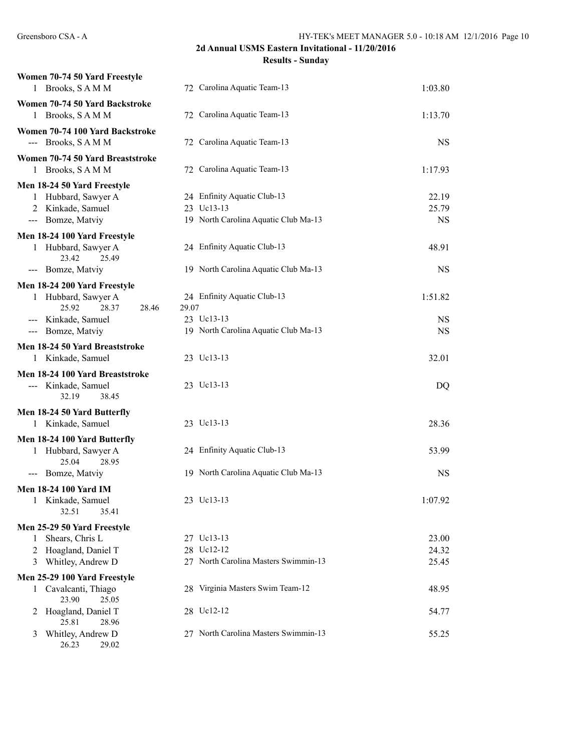| Women 70-74 50 Yard Freestyle<br>1 Brooks, SAMM      | 72 Carolina Aquatic Team-13          | 1:03.80   |
|------------------------------------------------------|--------------------------------------|-----------|
| Women 70-74 50 Yard Backstroke<br>1 Brooks, SAMM     | 72 Carolina Aquatic Team-13          | 1:13.70   |
| Women 70-74 100 Yard Backstroke                      |                                      |           |
| --- Brooks, SAMM                                     | 72 Carolina Aquatic Team-13          | <b>NS</b> |
| Women 70-74 50 Yard Breaststroke                     |                                      |           |
| 1 Brooks, SAMM                                       | 72 Carolina Aquatic Team-13          | 1:17.93   |
| Men 18-24 50 Yard Freestyle                          |                                      |           |
| 1 Hubbard, Sawyer A                                  | 24 Enfinity Aquatic Club-13          | 22.19     |
| 2 Kinkade, Samuel                                    | 23 Uc13-13                           | 25.79     |
| --- Bomze, Matviy                                    | 19 North Carolina Aquatic Club Ma-13 | <b>NS</b> |
| Men 18-24 100 Yard Freestyle                         |                                      |           |
| 1 Hubbard, Sawyer A<br>23.42<br>25.49                | 24 Enfinity Aquatic Club-13          | 48.91     |
| --- Bomze, Matviy                                    | 19 North Carolina Aquatic Club Ma-13 | <b>NS</b> |
| Men 18-24 200 Yard Freestyle                         |                                      |           |
| Hubbard, Sawyer A<br>1                               | 24 Enfinity Aquatic Club-13          | 1:51.82   |
| 25.92<br>28.37<br>28.46                              | 29.07                                |           |
| --- Kinkade, Samuel                                  | 23 Uc13-13                           | <b>NS</b> |
| --- Bomze, Matviy                                    | 19 North Carolina Aquatic Club Ma-13 | <b>NS</b> |
| Men 18-24 50 Yard Breaststroke                       |                                      |           |
| 1 Kinkade, Samuel                                    | 23 Uc13-13                           | 32.01     |
| Men 18-24 100 Yard Breaststroke                      |                                      |           |
| --- Kinkade, Samuel                                  | 23 Uc13-13                           | DQ        |
| 32.19<br>38.45                                       |                                      |           |
| Men 18-24 50 Yard Butterfly                          |                                      |           |
| 1 Kinkade, Samuel                                    | 23 Uc13-13                           | 28.36     |
| Men 18-24 100 Yard Butterfly                         |                                      |           |
| 1 Hubbard, Sawyer A                                  | 24 Enfinity Aquatic Club-13          | 53.99     |
| 25.04<br>28.95                                       |                                      |           |
| --- Bomze, Matviy                                    | 19 North Carolina Aquatic Club Ma-13 | <b>NS</b> |
| <b>Men 18-24 100 Yard IM</b>                         |                                      |           |
| Kinkade, Samuel                                      | 23 Uc13-13                           | 1:07.92   |
| 32.51<br>35.41                                       |                                      |           |
| Men 25-29 50 Yard Freestyle                          |                                      |           |
| Shears, Chris L<br>1                                 | 27 Uc13-13                           | 23.00     |
| Hoagland, Daniel T<br>2                              | 28 Uc12-12                           | 24.32     |
| 3 Whitley, Andrew D                                  | 27 North Carolina Masters Swimmin-13 | 25.45     |
| Men 25-29 100 Yard Freestyle                         |                                      |           |
| Cavalcanti, Thiago<br>$\mathbf{1}$<br>23.90<br>25.05 | 28 Virginia Masters Swim Team-12     | 48.95     |
| Hoagland, Daniel T<br>2                              | 28 Uc12-12                           | 54.77     |
| 25.81<br>28.96                                       |                                      |           |
| Whitley, Andrew D<br>3<br>26.23<br>29.02             | 27 North Carolina Masters Swimmin-13 | 55.25     |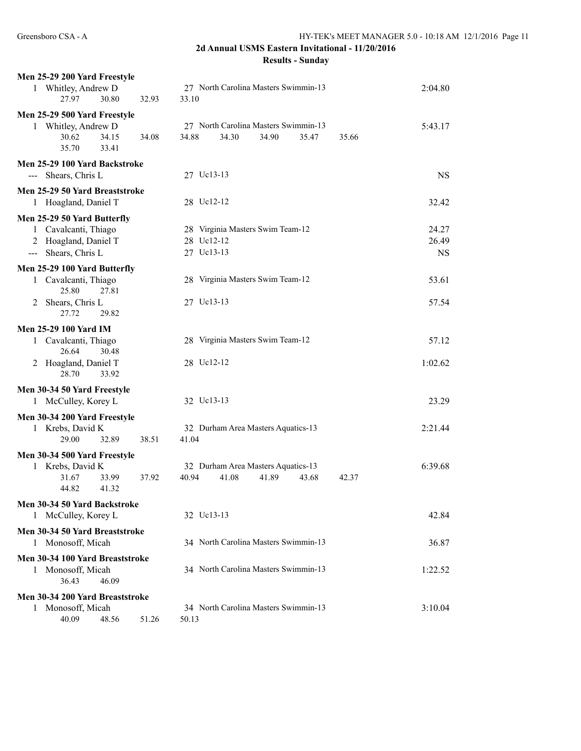| Men 25-29 200 Yard Freestyle                    |                                               |           |
|-------------------------------------------------|-----------------------------------------------|-----------|
| 1 Whitley, Andrew D                             | 27 North Carolina Masters Swimmin-13          | 2:04.80   |
| 30.80<br>27.97<br>32.93                         | 33.10                                         |           |
| Men 25-29 500 Yard Freestyle                    |                                               |           |
| 1 Whitley, Andrew D                             | 27 North Carolina Masters Swimmin-13<br>34.88 | 5:43.17   |
| 30.62<br>34.15<br>34.08<br>35.70<br>33.41       | 34.30<br>34.90<br>35.47<br>35.66              |           |
| Men 25-29 100 Yard Backstroke                   |                                               |           |
| Shears, Chris L<br>$---$                        | 27 Uc13-13                                    | <b>NS</b> |
| Men 25-29 50 Yard Breaststroke                  |                                               |           |
| 1 Hoagland, Daniel T                            | 28 Uc12-12                                    | 32.42     |
| Men 25-29 50 Yard Butterfly                     |                                               |           |
| 1 Cavalcanti, Thiago                            | 28 Virginia Masters Swim Team-12              | 24.27     |
| 2 Hoagland, Daniel T                            | 28 Uc12-12                                    | 26.49     |
| --- Shears, Chris L                             | 27 Uc13-13                                    | <b>NS</b> |
| Men 25-29 100 Yard Butterfly                    |                                               |           |
| 1 Cavalcanti, Thiago                            | 28 Virginia Masters Swim Team-12              | 53.61     |
| 25.80<br>27.81                                  |                                               |           |
| Shears, Chris L<br>2                            | 27 Uc13-13                                    | 57.54     |
| 27.72<br>29.82                                  |                                               |           |
| <b>Men 25-29 100 Yard IM</b>                    |                                               |           |
| 1 Cavalcanti, Thiago<br>26.64<br>30.48          | 28 Virginia Masters Swim Team-12              | 57.12     |
| Hoagland, Daniel T<br>2                         | 28 Uc12-12                                    | 1:02.62   |
| 28.70<br>33.92                                  |                                               |           |
| Men 30-34 50 Yard Freestyle                     |                                               |           |
| 1 McCulley, Korey L                             | 32 Uc13-13                                    | 23.29     |
| Men 30-34 200 Yard Freestyle                    |                                               |           |
| 1 Krebs, David K                                | 32 Durham Area Masters Aquatics-13            | 2:21.44   |
| 29.00<br>32.89<br>38.51                         | 41.04                                         |           |
| Men 30-34 500 Yard Freestyle                    |                                               |           |
| 1 Krebs, David K                                | 32 Durham Area Masters Aquatics-13            | 6:39.68   |
| 31.67<br>33.99<br>37.92                         | 40.94<br>41.08<br>41.89<br>43.68<br>42.37     |           |
| 44.82<br>41.32                                  |                                               |           |
| Men 30-34 50 Yard Backstroke                    |                                               |           |
| 1 McCulley, Korey L                             | 32 Uc13-13                                    | 42.84     |
| Men 30-34 50 Yard Breaststroke                  |                                               |           |
| 1 Monosoff, Micah                               | 34 North Carolina Masters Swimmin-13          | 36.87     |
| Men 30-34 100 Yard Breaststroke                 |                                               |           |
| 1 Monosoff, Micah                               | 34 North Carolina Masters Swimmin-13          | 1:22.52   |
| 36.43<br>46.09                                  |                                               |           |
| Men 30-34 200 Yard Breaststroke                 | 34 North Carolina Masters Swimmin-13          |           |
| Monosoff, Micah<br>1<br>40.09<br>48.56<br>51.26 | 50.13                                         | 3:10.04   |
|                                                 |                                               |           |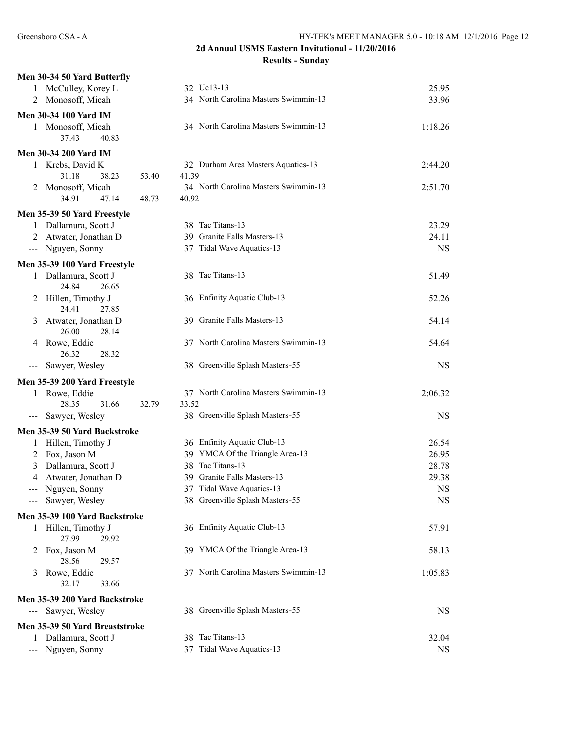|                                                                                                                                                                                                                                                                                                                                                                                                                                                                            | Men 30-34 50 Yard Butterfly         |       |       |                                      |           |
|----------------------------------------------------------------------------------------------------------------------------------------------------------------------------------------------------------------------------------------------------------------------------------------------------------------------------------------------------------------------------------------------------------------------------------------------------------------------------|-------------------------------------|-------|-------|--------------------------------------|-----------|
|                                                                                                                                                                                                                                                                                                                                                                                                                                                                            | McCulley, Korey L                   |       |       | 32 Uc13-13                           | 25.95     |
| 2                                                                                                                                                                                                                                                                                                                                                                                                                                                                          | Monosoff, Micah                     |       |       | 34 North Carolina Masters Swimmin-13 | 33.96     |
|                                                                                                                                                                                                                                                                                                                                                                                                                                                                            | <b>Men 30-34 100 Yard IM</b>        |       |       |                                      |           |
|                                                                                                                                                                                                                                                                                                                                                                                                                                                                            | 1 Monosoff, Micah                   |       |       | 34 North Carolina Masters Swimmin-13 | 1:18.26   |
|                                                                                                                                                                                                                                                                                                                                                                                                                                                                            | 37.43<br>40.83                      |       |       |                                      |           |
|                                                                                                                                                                                                                                                                                                                                                                                                                                                                            | <b>Men 30-34 200 Yard IM</b>        |       |       |                                      |           |
| 1                                                                                                                                                                                                                                                                                                                                                                                                                                                                          | Krebs, David K                      |       |       | 32 Durham Area Masters Aquatics-13   | 2:44.20   |
|                                                                                                                                                                                                                                                                                                                                                                                                                                                                            | 31.18<br>38.23                      | 53.40 | 41.39 |                                      |           |
| 2                                                                                                                                                                                                                                                                                                                                                                                                                                                                          | Monosoff, Micah                     |       |       | 34 North Carolina Masters Swimmin-13 | 2:51.70   |
|                                                                                                                                                                                                                                                                                                                                                                                                                                                                            | 34.91<br>47.14                      | 48.73 | 40.92 |                                      |           |
|                                                                                                                                                                                                                                                                                                                                                                                                                                                                            | Men 35-39 50 Yard Freestyle         |       |       |                                      |           |
| 1                                                                                                                                                                                                                                                                                                                                                                                                                                                                          | Dallamura, Scott J                  |       |       | 38 Tac Titans-13                     | 23.29     |
| 2                                                                                                                                                                                                                                                                                                                                                                                                                                                                          | Atwater, Jonathan D                 |       |       | 39 Granite Falls Masters-13          | 24.11     |
|                                                                                                                                                                                                                                                                                                                                                                                                                                                                            | --- Nguyen, Sonny                   |       |       | 37 Tidal Wave Aquatics-13            | <b>NS</b> |
|                                                                                                                                                                                                                                                                                                                                                                                                                                                                            | Men 35-39 100 Yard Freestyle        |       |       |                                      |           |
| 1                                                                                                                                                                                                                                                                                                                                                                                                                                                                          | Dallamura, Scott J                  |       |       | 38 Tac Titans-13                     | 51.49     |
|                                                                                                                                                                                                                                                                                                                                                                                                                                                                            | 24.84<br>26.65                      |       |       |                                      |           |
| 2                                                                                                                                                                                                                                                                                                                                                                                                                                                                          | Hillen, Timothy J<br>24.41<br>27.85 |       |       | 36 Enfinity Aquatic Club-13          | 52.26     |
| 3                                                                                                                                                                                                                                                                                                                                                                                                                                                                          | Atwater, Jonathan D                 |       |       | 39 Granite Falls Masters-13          | 54.14     |
|                                                                                                                                                                                                                                                                                                                                                                                                                                                                            | 26.00<br>28.14                      |       |       |                                      |           |
| 4                                                                                                                                                                                                                                                                                                                                                                                                                                                                          | Rowe, Eddie                         |       |       | 37 North Carolina Masters Swimmin-13 | 54.64     |
|                                                                                                                                                                                                                                                                                                                                                                                                                                                                            | 26.32<br>28.32                      |       |       |                                      |           |
| $\hspace{0.05cm} \ldots \hspace{0.05cm}$                                                                                                                                                                                                                                                                                                                                                                                                                                   | Sawyer, Wesley                      |       |       | 38 Greenville Splash Masters-55      | <b>NS</b> |
|                                                                                                                                                                                                                                                                                                                                                                                                                                                                            | Men 35-39 200 Yard Freestyle        |       |       |                                      |           |
|                                                                                                                                                                                                                                                                                                                                                                                                                                                                            | 1 Rowe, Eddie                       |       |       | 37 North Carolina Masters Swimmin-13 | 2:06.32   |
|                                                                                                                                                                                                                                                                                                                                                                                                                                                                            | 28.35<br>31.66                      | 32.79 | 33.52 |                                      |           |
| $\frac{1}{2} \left( \frac{1}{2} \right) \left( \frac{1}{2} \right) \left( \frac{1}{2} \right) \left( \frac{1}{2} \right) \left( \frac{1}{2} \right) \left( \frac{1}{2} \right) \left( \frac{1}{2} \right) \left( \frac{1}{2} \right) \left( \frac{1}{2} \right) \left( \frac{1}{2} \right) \left( \frac{1}{2} \right) \left( \frac{1}{2} \right) \left( \frac{1}{2} \right) \left( \frac{1}{2} \right) \left( \frac{1}{2} \right) \left( \frac{1}{2} \right) \left( \frac$ | Sawyer, Wesley                      |       |       | 38 Greenville Splash Masters-55      | <b>NS</b> |
|                                                                                                                                                                                                                                                                                                                                                                                                                                                                            | Men 35-39 50 Yard Backstroke        |       |       |                                      |           |
| 1                                                                                                                                                                                                                                                                                                                                                                                                                                                                          | Hillen, Timothy J                   |       |       | 36 Enfinity Aquatic Club-13          | 26.54     |
| 2                                                                                                                                                                                                                                                                                                                                                                                                                                                                          | Fox, Jason M                        |       |       | 39 YMCA Of the Triangle Area-13      | 26.95     |
| 3                                                                                                                                                                                                                                                                                                                                                                                                                                                                          | Dallamura, Scott J                  |       |       | 38 Tac Titans-13                     | 28.78     |
| 4                                                                                                                                                                                                                                                                                                                                                                                                                                                                          | Atwater, Jonathan D                 |       |       | 39 Granite Falls Masters-13          | 29.38     |
| $---$                                                                                                                                                                                                                                                                                                                                                                                                                                                                      | Nguyen, Sonny                       |       |       | 37 Tidal Wave Aquatics-13            | <b>NS</b> |
| $\qquad \qquad - -$                                                                                                                                                                                                                                                                                                                                                                                                                                                        | Sawyer, Wesley                      |       |       | 38 Greenville Splash Masters-55      | <b>NS</b> |
|                                                                                                                                                                                                                                                                                                                                                                                                                                                                            | Men 35-39 100 Yard Backstroke       |       |       |                                      |           |
| 1                                                                                                                                                                                                                                                                                                                                                                                                                                                                          | Hillen, Timothy J                   |       |       | 36 Enfinity Aquatic Club-13          | 57.91     |
|                                                                                                                                                                                                                                                                                                                                                                                                                                                                            | 27.99<br>29.92                      |       |       |                                      |           |
| 2                                                                                                                                                                                                                                                                                                                                                                                                                                                                          | Fox, Jason M                        |       |       | 39 YMCA Of the Triangle Area-13      | 58.13     |
|                                                                                                                                                                                                                                                                                                                                                                                                                                                                            | 28.56<br>29.57                      |       |       |                                      |           |
| 3                                                                                                                                                                                                                                                                                                                                                                                                                                                                          | Rowe, Eddie<br>32.17<br>33.66       |       |       | 37 North Carolina Masters Swimmin-13 | 1:05.83   |
|                                                                                                                                                                                                                                                                                                                                                                                                                                                                            | Men 35-39 200 Yard Backstroke       |       |       |                                      |           |
| $\frac{1}{2}$                                                                                                                                                                                                                                                                                                                                                                                                                                                              | Sawyer, Wesley                      |       |       | 38 Greenville Splash Masters-55      | NS        |
|                                                                                                                                                                                                                                                                                                                                                                                                                                                                            | Men 35-39 50 Yard Breaststroke      |       |       |                                      |           |
| 1                                                                                                                                                                                                                                                                                                                                                                                                                                                                          | Dallamura, Scott J                  |       |       | 38 Tac Titans-13                     | 32.04     |
|                                                                                                                                                                                                                                                                                                                                                                                                                                                                            | Nguyen, Sonny                       |       |       | 37 Tidal Wave Aquatics-13            | <b>NS</b> |
|                                                                                                                                                                                                                                                                                                                                                                                                                                                                            |                                     |       |       |                                      |           |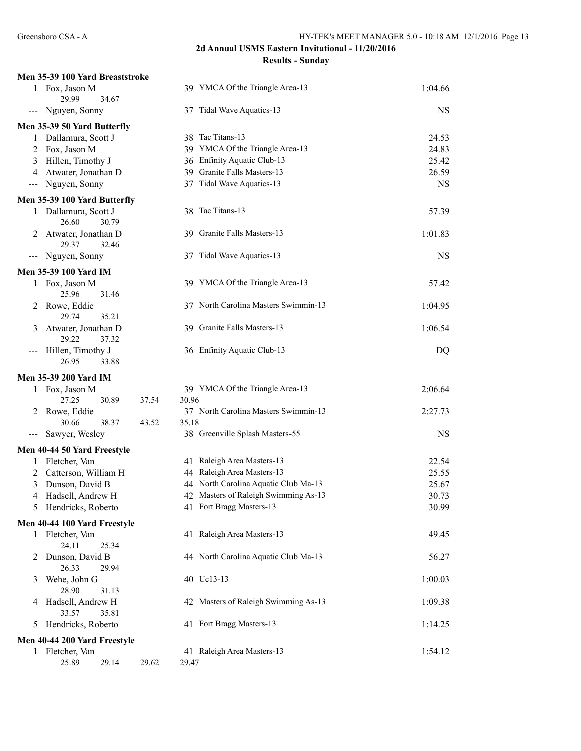|                                          | Men 35-39 100 Yard Breaststroke           |                                               |           |
|------------------------------------------|-------------------------------------------|-----------------------------------------------|-----------|
|                                          | 1 Fox, Jason M<br>29.99<br>34.67          | 39 YMCA Of the Triangle Area-13               | 1:04.66   |
| $\qquad \qquad - -$                      | Nguyen, Sonny                             | 37 Tidal Wave Aquatics-13                     | <b>NS</b> |
|                                          | Men 35-39 50 Yard Butterfly               |                                               |           |
| 1                                        | Dallamura, Scott J                        | 38 Tac Titans-13                              | 24.53     |
| 2                                        | Fox, Jason M                              | 39 YMCA Of the Triangle Area-13               | 24.83     |
| 3                                        | Hillen, Timothy J                         | 36 Enfinity Aquatic Club-13                   | 25.42     |
| 4                                        | Atwater, Jonathan D                       | 39 Granite Falls Masters-13                   | 26.59     |
| $\scriptstyle \cdots$                    | Nguyen, Sonny                             | 37 Tidal Wave Aquatics-13                     | <b>NS</b> |
|                                          | Men 35-39 100 Yard Butterfly              |                                               |           |
| 1                                        | Dallamura, Scott J<br>26.60<br>30.79      | 38 Tac Titans-13                              | 57.39     |
|                                          | Atwater, Jonathan D<br>29.37<br>32.46     | 39 Granite Falls Masters-13                   | 1:01.83   |
| $\hspace{0.05cm} \ldots \hspace{0.05cm}$ | Nguyen, Sonny                             | 37 Tidal Wave Aquatics-13                     | <b>NS</b> |
|                                          | <b>Men 35-39 100 Yard IM</b>              |                                               |           |
|                                          | 1 Fox, Jason M<br>25.96<br>31.46          | 39 YMCA Of the Triangle Area-13               | 57.42     |
| 2                                        | Rowe, Eddie<br>29.74<br>35.21             | 37 North Carolina Masters Swimmin-13          | 1:04.95   |
| 3                                        | Atwater, Jonathan D<br>29.22<br>37.32     | 39 Granite Falls Masters-13                   | 1:06.54   |
|                                          | Hillen, Timothy J<br>26.95<br>33.88       | 36 Enfinity Aquatic Club-13                   | DQ        |
|                                          | <b>Men 35-39 200 Yard IM</b>              |                                               |           |
|                                          | 1 Fox, Jason M<br>27.25<br>30.89<br>37.54 | 39 YMCA Of the Triangle Area-13<br>30.96      | 2:06.64   |
| 2                                        | Rowe, Eddie<br>30.66<br>38.37<br>43.52    | 37 North Carolina Masters Swimmin-13<br>35.18 | 2:27.73   |
| $---$                                    | Sawyer, Wesley                            | 38 Greenville Splash Masters-55               | <b>NS</b> |
|                                          | Men 40-44 50 Yard Freestyle               |                                               |           |
| 1                                        | Fletcher, Van                             | 41 Raleigh Area Masters-13                    | 22.54     |
| 2                                        | Catterson, William H                      | 44 Raleigh Area Masters-13                    | 25.55     |
| 3                                        | Dunson, David B                           | 44 North Carolina Aquatic Club Ma-13          | 25.67     |
| 4                                        | Hadsell, Andrew H                         | 42 Masters of Raleigh Swimming As-13          | 30.73     |
| 5                                        | Hendricks, Roberto                        | 41 Fort Bragg Masters-13                      | 30.99     |
|                                          | Men 40-44 100 Yard Freestyle              |                                               |           |
| 1                                        | Fletcher, Van<br>24.11<br>25.34           | 41 Raleigh Area Masters-13                    | 49.45     |
| 2                                        | Dunson, David B<br>26.33<br>29.94         | 44 North Carolina Aquatic Club Ma-13          | 56.27     |
| 3                                        | Wehe, John G<br>28.90<br>31.13            | 40 Uc13-13                                    | 1:00.03   |
| 4                                        | Hadsell, Andrew H<br>33.57<br>35.81       | 42 Masters of Raleigh Swimming As-13          | 1:09.38   |
| 5                                        | Hendricks, Roberto                        | 41 Fort Bragg Masters-13                      | 1:14.25   |
|                                          | Men 40-44 200 Yard Freestyle              |                                               |           |
|                                          | 1 Fletcher, Van<br>25.89<br>29.14         | 41 Raleigh Area Masters-13                    | 1:54.12   |
|                                          | 29.62                                     | 29.47                                         |           |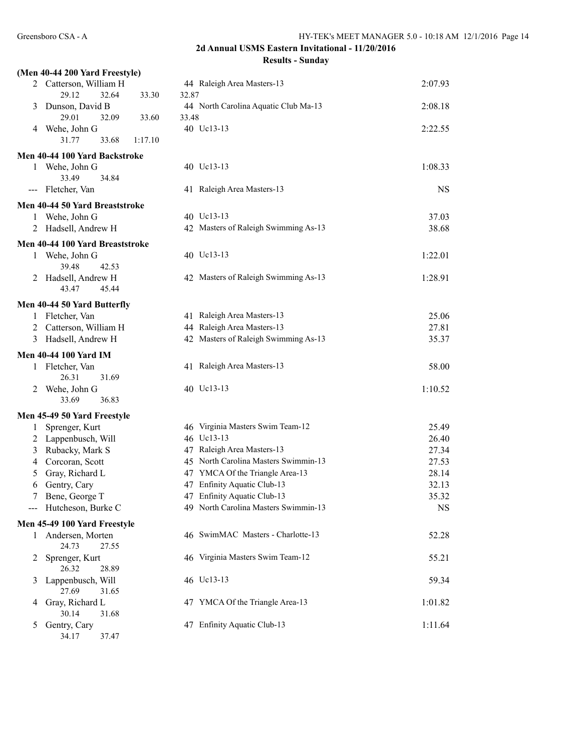|                     | (Men 40-44 200 Yard Freestyle)     |                |                                      |           |
|---------------------|------------------------------------|----------------|--------------------------------------|-----------|
|                     | 2 Catterson, William H             |                | 44 Raleigh Area Masters-13           | 2:07.93   |
|                     | 29.12<br>32.64                     | 33.30<br>32.87 |                                      |           |
| 3                   | Dunson, David B<br>29.01<br>32.09  | 33.60<br>33.48 | 44 North Carolina Aquatic Club Ma-13 | 2:08.18   |
| 4                   | Wehe, John G                       |                | 40 Uc13-13                           | 2:22.55   |
|                     | 31.77<br>33.68                     | 1:17.10        |                                      |           |
|                     | Men 40-44 100 Yard Backstroke      |                |                                      |           |
|                     | 1 Wehe, John G                     |                | 40 Uc13-13                           | 1:08.33   |
|                     | 33.49<br>34.84                     |                |                                      |           |
| $\qquad \qquad - -$ | Fletcher, Van                      |                | 41 Raleigh Area Masters-13           | <b>NS</b> |
|                     | Men 40-44 50 Yard Breaststroke     |                |                                      |           |
|                     | 1 Wehe, John G                     |                | 40 Uc13-13                           | 37.03     |
|                     | Hadsell, Andrew H                  |                | 42 Masters of Raleigh Swimming As-13 | 38.68     |
|                     | Men 40-44 100 Yard Breaststroke    |                |                                      |           |
|                     | 1 Wehe, John G                     |                | 40 Uc13-13                           | 1:22.01   |
|                     | 39.48<br>42.53                     |                |                                      |           |
| 2                   | Hadsell, Andrew H                  |                | 42 Masters of Raleigh Swimming As-13 | 1:28.91   |
|                     | 43.47<br>45.44                     |                |                                      |           |
|                     | Men 40-44 50 Yard Butterfly        |                |                                      |           |
|                     | 1 Fletcher, Van                    |                | 41 Raleigh Area Masters-13           | 25.06     |
|                     | 2 Catterson, William H             |                | 44 Raleigh Area Masters-13           | 27.81     |
| 3                   | Hadsell, Andrew H                  |                | 42 Masters of Raleigh Swimming As-13 | 35.37     |
|                     | <b>Men 40-44 100 Yard IM</b>       |                |                                      |           |
|                     | 1 Fletcher, Van                    |                | 41 Raleigh Area Masters-13           | 58.00     |
|                     | 26.31<br>31.69                     |                |                                      |           |
|                     | 2 Wehe, John G                     |                | 40 Uc13-13                           | 1:10.52   |
|                     | 36.83<br>33.69                     |                |                                      |           |
|                     | Men 45-49 50 Yard Freestyle        |                |                                      |           |
| 1                   | Sprenger, Kurt                     |                | 46 Virginia Masters Swim Team-12     | 25.49     |
|                     | 2 Lappenbusch, Will                |                | 46 Uc13-13                           | 26.40     |
| 3                   | Rubacky, Mark S                    |                | 47 Raleigh Area Masters-13           | 27.34     |
| 4                   | Corcoran, Scott                    |                | 45 North Carolina Masters Swimmin-13 | 27.53     |
| 5                   | Gray, Richard L                    |                | 47 YMCA Of the Triangle Area-13      | 28.14     |
| 6                   | Gentry, Cary                       |                | 47 Enfinity Aquatic Club-13          | 32.13     |
|                     | Bene, George T                     |                | 47 Enfinity Aquatic Club-13          | 35.32     |
|                     | Hutcheson, Burke C                 |                | 49 North Carolina Masters Swimmin-13 | <b>NS</b> |
|                     | Men 45-49 100 Yard Freestyle       |                |                                      |           |
| 1                   | Andersen, Morten<br>24.73<br>27.55 |                | 46 SwimMAC Masters - Charlotte-13    | 52.28     |
| 2                   | Sprenger, Kurt<br>26.32<br>28.89   |                | 46 Virginia Masters Swim Team-12     | 55.21     |
| 3                   | Lappenbusch, Will                  |                | 46 Uc13-13                           | 59.34     |
|                     | 27.69<br>31.65                     |                |                                      |           |
| 4                   | Gray, Richard L                    |                | 47 YMCA Of the Triangle Area-13      | 1:01.82   |
|                     | 30.14<br>31.68                     |                |                                      |           |
| 5                   | Gentry, Cary<br>34.17<br>37.47     |                | 47 Enfinity Aquatic Club-13          | 1:11.64   |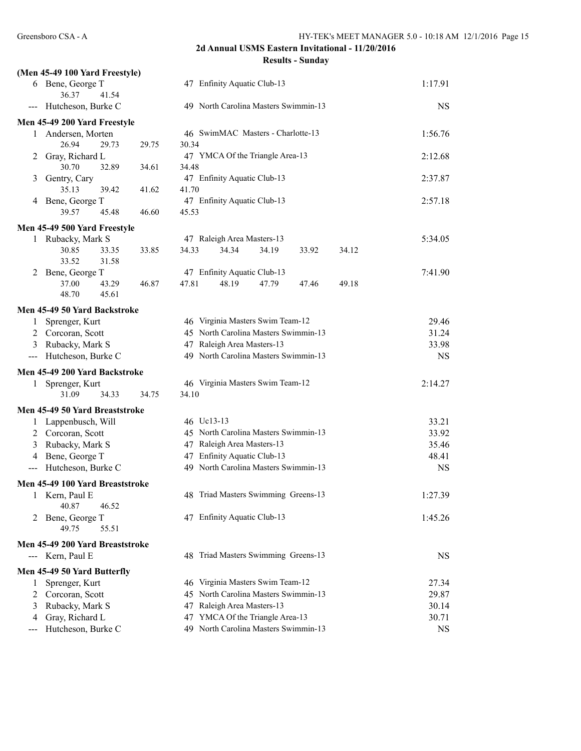|                | (Men 45-49 100 Yard Freestyle)                    |       |       |            |                                      |       |       |       |           |
|----------------|---------------------------------------------------|-------|-------|------------|--------------------------------------|-------|-------|-------|-----------|
|                | 6 Bene, George T<br>36.37                         | 41.54 |       |            | 47 Enfinity Aquatic Club-13          |       |       |       | 1:17.91   |
| $---$          | Hutcheson, Burke C                                |       |       |            | 49 North Carolina Masters Swimmin-13 |       |       |       | <b>NS</b> |
|                | Men 45-49 200 Yard Freestyle                      |       |       |            |                                      |       |       |       |           |
|                | 1 Andersen, Morten                                |       |       |            | 46 SwimMAC Masters - Charlotte-13    |       |       |       | 1:56.76   |
|                | 26.94                                             | 29.73 | 29.75 | 30.34      |                                      |       |       |       |           |
| 2              | Gray, Richard L                                   |       |       |            | 47 YMCA Of the Triangle Area-13      |       |       |       | 2:12.68   |
|                | 30.70                                             | 32.89 | 34.61 | 34.48      |                                      |       |       |       |           |
| 3              | Gentry, Cary                                      |       |       |            | 47 Enfinity Aquatic Club-13          |       |       |       | 2:37.87   |
|                | 35.13                                             | 39.42 | 41.62 | 41.70      | 47 Enfinity Aquatic Club-13          |       |       |       |           |
|                | 4 Bene, George T<br>39.57                         | 45.48 | 46.60 | 45.53      |                                      |       |       |       | 2:57.18   |
|                |                                                   |       |       |            |                                      |       |       |       |           |
|                | Men 45-49 500 Yard Freestyle<br>1 Rubacky, Mark S |       |       |            | 47 Raleigh Area Masters-13           |       |       |       | 5:34.05   |
|                | 30.85                                             | 33.35 | 33.85 | 34.33      | 34.34                                | 34.19 | 33.92 | 34.12 |           |
|                | 33.52                                             | 31.58 |       |            |                                      |       |       |       |           |
| 2              | Bene, George T                                    |       |       |            | 47 Enfinity Aquatic Club-13          |       |       |       | 7:41.90   |
|                | 37.00                                             | 43.29 | 46.87 | 47.81      | 48.19                                | 47.79 | 47.46 | 49.18 |           |
|                | 48.70                                             | 45.61 |       |            |                                      |       |       |       |           |
|                | Men 45-49 50 Yard Backstroke                      |       |       |            |                                      |       |       |       |           |
| $\mathbf{1}$   | Sprenger, Kurt                                    |       |       |            | 46 Virginia Masters Swim Team-12     |       |       |       | 29.46     |
|                | 2 Corcoran, Scott                                 |       |       |            | 45 North Carolina Masters Swimmin-13 |       |       |       | 31.24     |
| 3              | Rubacky, Mark S                                   |       |       |            | 47 Raleigh Area Masters-13           |       |       |       | 33.98     |
| $---$          | Hutcheson, Burke C                                |       |       |            | 49 North Carolina Masters Swimmin-13 |       |       |       | <b>NS</b> |
|                | Men 45-49 200 Yard Backstroke                     |       |       |            |                                      |       |       |       |           |
|                | 1 Sprenger, Kurt                                  |       |       |            | 46 Virginia Masters Swim Team-12     |       |       |       | 2:14.27   |
|                | 31.09                                             | 34.33 | 34.75 | 34.10      |                                      |       |       |       |           |
|                | Men 45-49 50 Yard Breaststroke                    |       |       |            |                                      |       |       |       |           |
|                | 1 Lappenbusch, Will                               |       |       | 46 Uc13-13 |                                      |       |       |       | 33.21     |
|                | 2 Corcoran, Scott                                 |       |       |            | 45 North Carolina Masters Swimmin-13 |       |       |       | 33.92     |
| 3              | Rubacky, Mark S                                   |       |       |            | 47 Raleigh Area Masters-13           |       |       |       | 35.46     |
| 4              | Bene, George T                                    |       |       |            | 47 Enfinity Aquatic Club-13          |       |       |       | 48.41     |
| $---$          | Hutcheson, Burke C                                |       |       |            | 49 North Carolina Masters Swimmin-13 |       |       |       | <b>NS</b> |
|                | Men 45-49 100 Yard Breaststroke                   |       |       |            |                                      |       |       |       |           |
| I              | Kern, Paul E<br>40.87                             | 46.52 |       |            | 48 Triad Masters Swimming Greens-13  |       |       |       | 1:27.39   |
| 2              | Bene, George T                                    |       |       |            | 47 Enfinity Aquatic Club-13          |       |       |       | 1:45.26   |
|                | 49.75                                             | 55.51 |       |            |                                      |       |       |       |           |
|                | Men 45-49 200 Yard Breaststroke                   |       |       |            |                                      |       |       |       |           |
|                | --- Kern, Paul E                                  |       |       |            | 48 Triad Masters Swimming Greens-13  |       |       |       | NS        |
|                | Men 45-49 50 Yard Butterfly                       |       |       |            |                                      |       |       |       |           |
| 1              | Sprenger, Kurt                                    |       |       |            | 46 Virginia Masters Swim Team-12     |       |       |       | 27.34     |
| $\overline{2}$ | Corcoran, Scott                                   |       |       |            | 45 North Carolina Masters Swimmin-13 |       |       |       | 29.87     |
| 3              | Rubacky, Mark S                                   |       |       |            | 47 Raleigh Area Masters-13           |       |       |       | 30.14     |
| 4              | Gray, Richard L                                   |       |       |            | 47 YMCA Of the Triangle Area-13      |       |       |       | 30.71     |
|                | Hutcheson, Burke C                                |       |       |            | 49 North Carolina Masters Swimmin-13 |       |       |       | <b>NS</b> |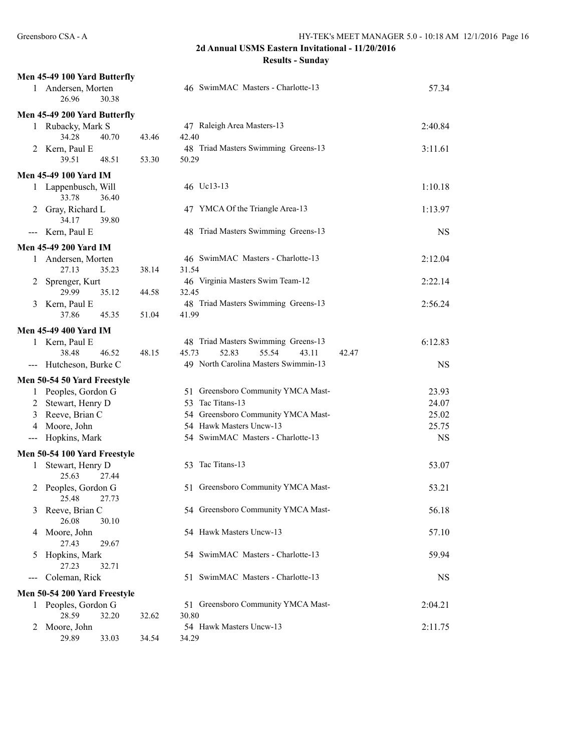## **2d Annual USMS Eastern Invitational - 11/20/2016**

**Results - Sunday**

|                                          | Men 45-49 100 Yard Butterfly |       |       |                                                                |                    |
|------------------------------------------|------------------------------|-------|-------|----------------------------------------------------------------|--------------------|
|                                          | 1 Andersen, Morten<br>26.96  | 30.38 |       | 46 SwimMAC Masters - Charlotte-13                              | 57.34              |
|                                          | Men 45-49 200 Yard Butterfly |       |       |                                                                |                    |
|                                          | 1 Rubacky, Mark S            |       |       | 47 Raleigh Area Masters-13                                     | 2:40.84            |
|                                          | 34.28                        | 40.70 | 43.46 | 42.40                                                          |                    |
|                                          | 2 Kern, Paul E               |       |       | 48 Triad Masters Swimming Greens-13                            | 3:11.61            |
|                                          | 39.51                        | 48.51 | 53.30 | 50.29                                                          |                    |
|                                          | Men 45-49 100 Yard IM        |       |       |                                                                |                    |
|                                          | 1 Lappenbusch, Will          |       |       | 46 Uc13-13                                                     | 1:10.18            |
|                                          | 33.78                        | 36.40 |       |                                                                |                    |
| 2                                        | Gray, Richard L              |       |       | 47 YMCA Of the Triangle Area-13                                | 1:13.97            |
|                                          | 34.17                        | 39.80 |       |                                                                |                    |
| $\qquad \qquad - -$                      | Kern, Paul E                 |       |       | 48 Triad Masters Swimming Greens-13                            | <b>NS</b>          |
|                                          | <b>Men 45-49 200 Yard IM</b> |       |       |                                                                |                    |
|                                          | 1 Andersen, Morten           |       |       | 46 SwimMAC Masters - Charlotte-13                              | 2:12.04            |
|                                          | 27.13                        | 35.23 | 38.14 | 31.54                                                          |                    |
| 2                                        | Sprenger, Kurt               |       |       | 46 Virginia Masters Swim Team-12                               | 2:22.14            |
|                                          | 29.99                        | 35.12 | 44.58 | 32.45<br>48 Triad Masters Swimming Greens-13                   |                    |
| 3                                        | Kern, Paul E<br>37.86        | 45.35 | 51.04 | 41.99                                                          | 2:56.24            |
|                                          |                              |       |       |                                                                |                    |
|                                          | <b>Men 45-49 400 Yard IM</b> |       |       |                                                                |                    |
|                                          | 1 Kern, Paul E<br>38.48      |       |       | 48 Triad Masters Swimming Greens-13<br>45.73<br>52.83<br>55.54 | 6:12.83            |
|                                          | --- Hutcheson, Burke C       | 46.52 | 48.15 | 43.11<br>42.47<br>49 North Carolina Masters Swimmin-13         | <b>NS</b>          |
|                                          |                              |       |       |                                                                |                    |
|                                          | Men 50-54 50 Yard Freestyle  |       |       |                                                                |                    |
| 1                                        | Peoples, Gordon G            |       |       | 51 Greensboro Community YMCA Mast-                             | 23.93              |
|                                          | 2 Stewart, Henry D           |       |       | 53 Tac Titans-13                                               | 24.07              |
| 3                                        | Reeve, Brian C               |       |       | 54 Greensboro Community YMCA Mast-<br>54 Hawk Masters Uncw-13  | 25.02              |
| 4                                        | Moore, John<br>Hopkins, Mark |       |       | 54 SwimMAC Masters - Charlotte-13                              | 25.75<br><b>NS</b> |
| $\qquad \qquad - -$                      |                              |       |       |                                                                |                    |
|                                          | Men 50-54 100 Yard Freestyle |       |       |                                                                |                    |
| 1                                        | Stewart, Henry D<br>25.63    | 27.44 |       | 53 Tac Titans-13                                               | 53.07              |
| 2                                        | Peoples, Gordon G            |       |       | 51 Greensboro Community YMCA Mast-                             | 53.21              |
|                                          | 25.48 27.73                  |       |       |                                                                |                    |
| 3                                        | Reeve, Brian C               |       |       | 54 Greensboro Community YMCA Mast-                             | 56.18              |
|                                          | 26.08                        | 30.10 |       |                                                                |                    |
| 4                                        | Moore, John                  |       |       | 54 Hawk Masters Uncw-13                                        | 57.10              |
|                                          | 27.43                        | 29.67 |       |                                                                |                    |
| 5                                        | Hopkins, Mark                |       |       | 54 SwimMAC Masters - Charlotte-13                              | 59.94              |
|                                          | 27.23                        | 32.71 |       |                                                                |                    |
| $\hspace{0.05cm} \ldots \hspace{0.05cm}$ | Coleman, Rick                |       |       | 51 SwimMAC Masters - Charlotte-13                              | <b>NS</b>          |
|                                          | Men 50-54 200 Yard Freestyle |       |       |                                                                |                    |
|                                          | 1 Peoples, Gordon G          |       |       | 51 Greensboro Community YMCA Mast-                             | 2:04.21            |
|                                          | 28.59                        | 32.20 | 32.62 | 30.80                                                          |                    |
| 2                                        | Moore, John                  |       |       | 54 Hawk Masters Uncw-13                                        | 2:11.75            |
|                                          | 29.89                        | 33.03 | 34.54 | 34.29                                                          |                    |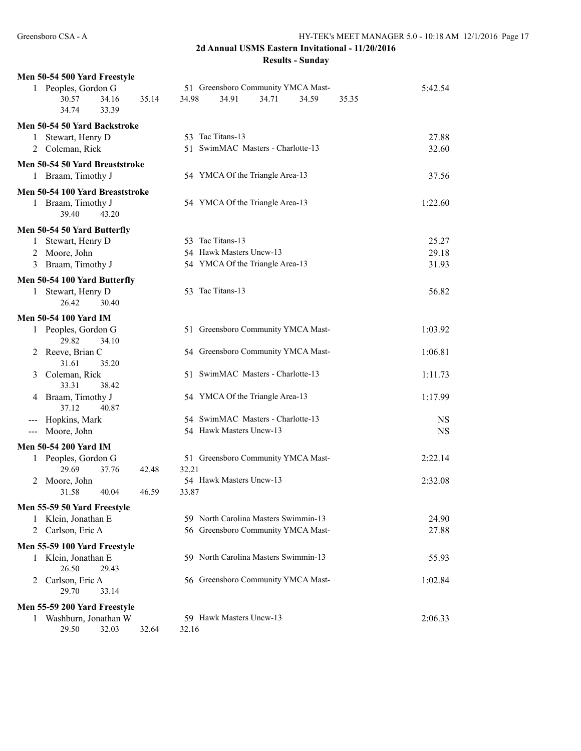| Men 50-54 500 Yard Freestyle              |                                           |           |  |  |  |  |  |
|-------------------------------------------|-------------------------------------------|-----------|--|--|--|--|--|
| 1 Peoples, Gordon G                       | 51 Greensboro Community YMCA Mast-        | 5:42.54   |  |  |  |  |  |
| 30.57<br>34.16<br>35.14<br>34.74<br>33.39 | 34.91<br>34.98<br>34.71<br>34.59<br>35.35 |           |  |  |  |  |  |
| Men 50-54 50 Yard Backstroke              |                                           |           |  |  |  |  |  |
| Stewart, Henry D<br>$\mathbf{1}$          | 53 Tac Titans-13                          | 27.88     |  |  |  |  |  |
| 2 Coleman, Rick                           | 51 SwimMAC Masters - Charlotte-13         | 32.60     |  |  |  |  |  |
| Men 50-54 50 Yard Breaststroke            |                                           |           |  |  |  |  |  |
| 1 Braam, Timothy J                        | 54 YMCA Of the Triangle Area-13           | 37.56     |  |  |  |  |  |
| Men 50-54 100 Yard Breaststroke           |                                           |           |  |  |  |  |  |
| 1 Braam, Timothy J<br>39.40<br>43.20      | 54 YMCA Of the Triangle Area-13           | 1:22.60   |  |  |  |  |  |
| Men 50-54 50 Yard Butterfly               |                                           |           |  |  |  |  |  |
| Stewart, Henry D<br>1                     | 53 Tac Titans-13                          | 25.27     |  |  |  |  |  |
| Moore, John<br>2                          | 54 Hawk Masters Uncw-13                   | 29.18     |  |  |  |  |  |
| Braam, Timothy J<br>3                     | 54 YMCA Of the Triangle Area-13           | 31.93     |  |  |  |  |  |
| Men 50-54 100 Yard Butterfly              |                                           |           |  |  |  |  |  |
| 1 Stewart, Henry D                        | 53 Tac Titans-13                          | 56.82     |  |  |  |  |  |
| 26.42<br>30.40                            |                                           |           |  |  |  |  |  |
| <b>Men 50-54 100 Yard IM</b>              |                                           |           |  |  |  |  |  |
| 1 Peoples, Gordon G                       | 51 Greensboro Community YMCA Mast-        | 1:03.92   |  |  |  |  |  |
| 29.82<br>34.10                            |                                           |           |  |  |  |  |  |
| 2 Reeve, Brian C<br>31.61<br>35.20        | 54 Greensboro Community YMCA Mast-        | 1:06.81   |  |  |  |  |  |
| Coleman, Rick<br>3<br>33.31<br>38.42      | 51 SwimMAC Masters - Charlotte-13         | 1:11.73   |  |  |  |  |  |
| Braam, Timothy J<br>4<br>37.12<br>40.87   | 54 YMCA Of the Triangle Area-13           | 1:17.99   |  |  |  |  |  |
| Hopkins, Mark<br>$---$                    | 54 SwimMAC Masters - Charlotte-13         | <b>NS</b> |  |  |  |  |  |
| Moore, John<br>$---$                      | 54 Hawk Masters Uncw-13                   | <b>NS</b> |  |  |  |  |  |
| Men 50-54 200 Yard IM                     |                                           |           |  |  |  |  |  |
| 1 Peoples, Gordon G                       | 51 Greensboro Community YMCA Mast-        | 2:22.14   |  |  |  |  |  |
| 29.69<br>37.76<br>42.48                   | 32.21                                     |           |  |  |  |  |  |
| 2 Moore, John                             | 54 Hawk Masters Uncw-13                   | 2:32.08   |  |  |  |  |  |
| 46.59<br>40.04<br>31.58                   | 33.87                                     |           |  |  |  |  |  |
| Men 55-59 50 Yard Freestyle               |                                           |           |  |  |  |  |  |
| Klein, Jonathan E<br>1                    | 59 North Carolina Masters Swimmin-13      | 24.90     |  |  |  |  |  |
| Carlson, Eric A<br>$\overline{2}$         | 56 Greensboro Community YMCA Mast-        | 27.88     |  |  |  |  |  |
| Men 55-59 100 Yard Freestyle              |                                           |           |  |  |  |  |  |
| 1 Klein, Jonathan E                       | 59 North Carolina Masters Swimmin-13      | 55.93     |  |  |  |  |  |
| 26.50<br>29.43                            |                                           |           |  |  |  |  |  |
| Carlson, Eric A<br>2                      | 56 Greensboro Community YMCA Mast-        | 1:02.84   |  |  |  |  |  |
| 29.70<br>33.14                            |                                           |           |  |  |  |  |  |
| Men 55-59 200 Yard Freestyle              |                                           |           |  |  |  |  |  |
| 1 Washburn, Jonathan W                    | 59 Hawk Masters Uncw-13                   | 2:06.33   |  |  |  |  |  |
| 29.50<br>32.03<br>32.64                   | 32.16                                     |           |  |  |  |  |  |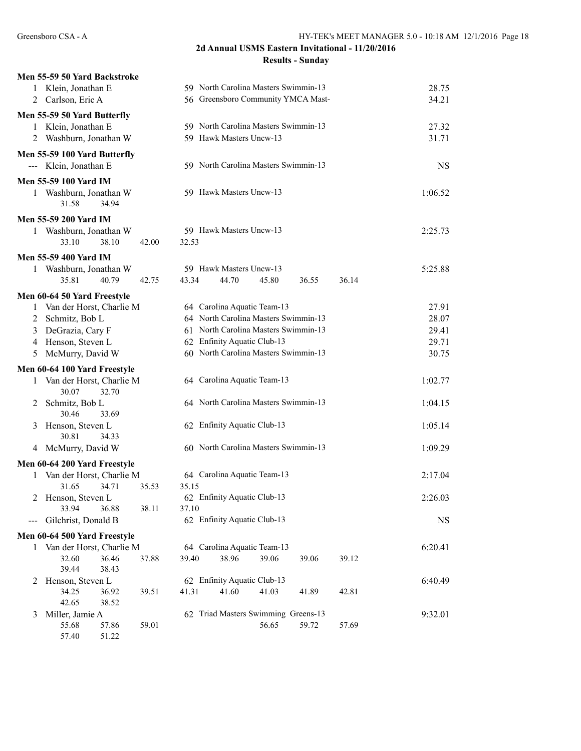|                                  | Men 55-59 50 Yard Backstroke |                |                                                   |
|----------------------------------|------------------------------|----------------|---------------------------------------------------|
|                                  | Klein, Jonathan E            |                | 59 North Carolina Masters Swimmin-13<br>28.75     |
| 2 Carlson, Eric A                |                              |                | 56 Greensboro Community YMCA Mast-<br>34.21       |
| Men 55-59 50 Yard Butterfly      |                              |                |                                                   |
| 1                                | Klein, Jonathan E            |                | 59 North Carolina Masters Swimmin-13<br>27.32     |
|                                  | 2 Washburn, Jonathan W       |                | 59 Hawk Masters Uncw-13<br>31.71                  |
|                                  | Men 55-59 100 Yard Butterfly |                |                                                   |
| --- Klein, Jonathan E            |                              |                | 59 North Carolina Masters Swimmin-13<br><b>NS</b> |
| Men 55-59 100 Yard IM            |                              |                |                                                   |
|                                  | 1 Washburn, Jonathan W       |                | 59 Hawk Masters Uncw-13<br>1:06.52                |
| 31.58                            | 34.94                        |                |                                                   |
| <b>Men 55-59 200 Yard IM</b>     |                              |                |                                                   |
|                                  | 1 Washburn, Jonathan W       |                | 59 Hawk Masters Uncw-13<br>2:25.73                |
| 33.10                            | 38.10                        | 42.00<br>32.53 |                                                   |
| <b>Men 55-59 400 Yard IM</b>     |                              |                |                                                   |
|                                  | 1 Washburn, Jonathan W       |                | 59 Hawk Masters Uncw-13<br>5:25.88                |
| 35.81                            | 40.79                        | 43.34<br>42.75 | 45.80<br>44.70<br>36.14<br>36.55                  |
| Men 60-64 50 Yard Freestyle      |                              |                |                                                   |
|                                  | 1 Van der Horst, Charlie M   |                | 64 Carolina Aquatic Team-13<br>27.91              |
| $\overline{2}$<br>Schmitz, Bob L |                              |                | 64 North Carolina Masters Swimmin-13<br>28.07     |
| 3                                | DeGrazia, Cary F             |                | 61 North Carolina Masters Swimmin-13<br>29.41     |
| 4                                | Henson, Steven L             |                | 62 Enfinity Aquatic Club-13<br>29.71              |
| 5                                | McMurry, David W             |                | 60 North Carolina Masters Swimmin-13<br>30.75     |
|                                  | Men 60-64 100 Yard Freestyle |                |                                                   |
|                                  | 1 Van der Horst, Charlie M   |                | 64 Carolina Aquatic Team-13<br>1:02.77            |
| 30.07                            | 32.70                        |                |                                                   |
| Schmitz, Bob L<br>2              |                              |                | 64 North Carolina Masters Swimmin-13<br>1:04.15   |
| 30.46                            | 33.69                        |                |                                                   |
| 3                                | Henson, Steven L             |                | 62 Enfinity Aquatic Club-13<br>1:05.14            |
| 30.81                            | 34.33                        |                |                                                   |
|                                  | 4 McMurry, David W           |                | 60 North Carolina Masters Swimmin-13<br>1:09.29   |
|                                  | Men 60-64 200 Yard Freestyle |                |                                                   |
|                                  | 1 Van der Horst, Charlie M   |                | 64 Carolina Aquatic Team-13<br>2:17.04            |
| 31.65                            | 34.71                        | 35.15<br>35.53 |                                                   |
|                                  | Henson, Steven L             |                | 62 Enfinity Aquatic Club-13<br>2:26.03            |
| 33.94                            | 36.88<br>Gilchrist, Donald B | 38.11<br>37.10 | 62 Enfinity Aquatic Club-13                       |
|                                  |                              |                | <b>NS</b>                                         |
|                                  | Men 60-64 500 Yard Freestyle |                |                                                   |
|                                  | 1 Van der Horst, Charlie M   |                | 64 Carolina Aquatic Team-13<br>6:20.41            |
| 32.60<br>39.44                   | 36.46<br>38.43               | 39.40<br>37.88 | 38.96<br>39.06<br>39.06<br>39.12                  |
| 2                                | Henson, Steven L             |                | 62 Enfinity Aquatic Club-13<br>6:40.49            |
| 34.25                            | 36.92                        | 41.31<br>39.51 | 41.60<br>41.03<br>41.89<br>42.81                  |
| 42.65                            | 38.52                        |                |                                                   |
| Miller, Jamie A<br>3             |                              |                | 62 Triad Masters Swimming Greens-13<br>9:32.01    |
| 55.68                            | 57.86                        | 59.01          | 56.65<br>59.72<br>57.69                           |
| 57.40                            | 51.22                        |                |                                                   |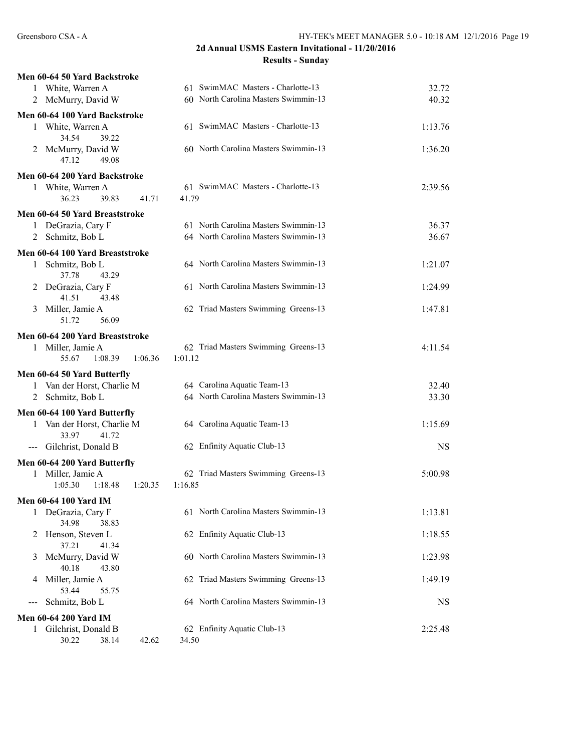| Men 60-64 50 Yard Backstroke                        |                                      |           |
|-----------------------------------------------------|--------------------------------------|-----------|
| 1 White, Warren A                                   | 61 SwimMAC Masters - Charlotte-13    | 32.72     |
| 2 McMurry, David W                                  | 60 North Carolina Masters Swimmin-13 | 40.32     |
| Men 60-64 100 Yard Backstroke                       |                                      |           |
| 1 White, Warren A                                   | 61 SwimMAC Masters - Charlotte-13    | 1:13.76   |
| 34.54<br>39.22<br>2 McMurry, David W                | 60 North Carolina Masters Swimmin-13 | 1:36.20   |
| 47.12<br>49.08                                      |                                      |           |
| Men 60-64 200 Yard Backstroke                       |                                      |           |
| 1 White, Warren A                                   | 61 SwimMAC Masters - Charlotte-13    | 2:39.56   |
| 36.23<br>39.83<br>41.71                             | 41.79                                |           |
| Men 60-64 50 Yard Breaststroke                      |                                      |           |
| 1 DeGrazia, Cary F                                  | 61 North Carolina Masters Swimmin-13 | 36.37     |
| 2 Schmitz, Bob L                                    | 64 North Carolina Masters Swimmin-13 | 36.67     |
| Men 60-64 100 Yard Breaststroke                     |                                      |           |
| 1 Schmitz, Bob L                                    | 64 North Carolina Masters Swimmin-13 | 1:21.07   |
| 37.78<br>43.29                                      |                                      |           |
| DeGrazia, Cary F<br>2                               | 61 North Carolina Masters Swimmin-13 | 1:24.99   |
| 41.51<br>43.48                                      |                                      |           |
| Miller, Jamie A<br>3                                | 62 Triad Masters Swimming Greens-13  | 1:47.81   |
| 51.72<br>56.09                                      |                                      |           |
| Men 60-64 200 Yard Breaststroke                     |                                      |           |
| 1 Miller, Jamie A                                   | 62 Triad Masters Swimming Greens-13  | 4:11.54   |
| 55.67<br>1:08.39<br>1:06.36                         | 1:01.12                              |           |
| Men 60-64 50 Yard Butterfly                         |                                      |           |
| 1 Van der Horst, Charlie M                          | 64 Carolina Aquatic Team-13          | 32.40     |
| 2 Schmitz, Bob L                                    | 64 North Carolina Masters Swimmin-13 | 33.30     |
| Men 60-64 100 Yard Butterfly                        |                                      |           |
| Van der Horst, Charlie M<br>1                       | 64 Carolina Aquatic Team-13          | 1:15.69   |
| 33.97<br>41.72                                      |                                      |           |
| Gilchrist, Donald B<br>$---$                        | 62 Enfinity Aquatic Club-13          | <b>NS</b> |
| Men 60-64 200 Yard Butterfly                        |                                      |           |
| 1 Miller, Jamie A                                   | 62 Triad Masters Swimming Greens-13  | 5:00.98   |
| 1:05.30<br>1:18.48<br>1:20.35                       | 1:16.85                              |           |
| Men 60-64 100 Yard IM                               |                                      |           |
| 1 DeGrazia, Cary F                                  | 61 North Carolina Masters Swimmin-13 | 1:13.81   |
| 34.98<br>38.83                                      |                                      |           |
| Henson, Steven L<br>2                               | 62 Enfinity Aquatic Club-13          | 1:18.55   |
| 37.21<br>41.34                                      |                                      |           |
| McMurry, David W<br>3                               | 60 North Carolina Masters Swimmin-13 | 1:23.98   |
| 40.18<br>43.80                                      |                                      |           |
| Miller, Jamie A<br>4<br>53.44<br>55.75              | 62 Triad Masters Swimming Greens-13  | 1:49.19   |
| Schmitz, Bob L<br>---                               | 64 North Carolina Masters Swimmin-13 | NS        |
|                                                     |                                      |           |
| <b>Men 60-64 200 Yard IM</b>                        |                                      |           |
| Gilchrist, Donald B<br>1<br>30.22<br>38.14<br>42.62 | 62 Enfinity Aquatic Club-13<br>34.50 | 2:25.48   |
|                                                     |                                      |           |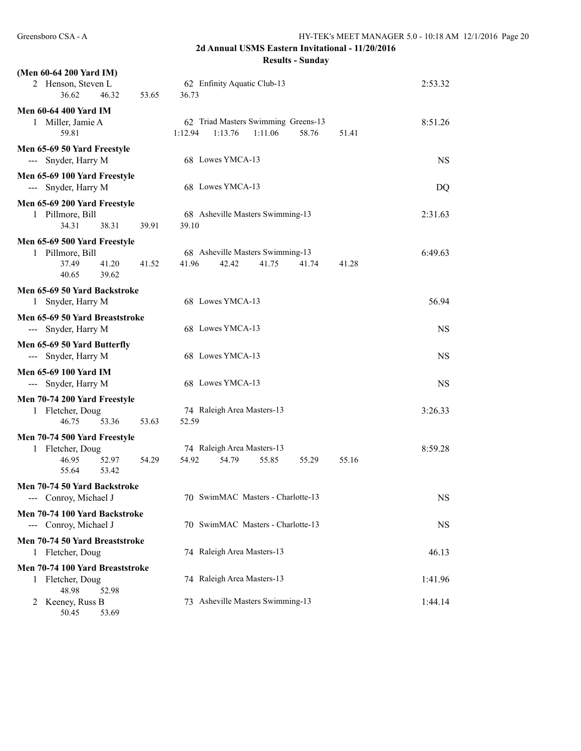| (Men 60-64 200 Yard IM)                               |                                                                                        |           |
|-------------------------------------------------------|----------------------------------------------------------------------------------------|-----------|
| 2 Henson, Steven L<br>36.62<br>46.32                  | 62 Enfinity Aquatic Club-13<br>53.65<br>36.73                                          | 2:53.32   |
| <b>Men 60-64 400 Yard IM</b>                          |                                                                                        |           |
| 1 Miller, Jamie A<br>59.81                            | 62 Triad Masters Swimming Greens-13<br>1:12.94<br>1:13.76<br>1:11.06<br>58.76<br>51.41 | 8:51.26   |
| Men 65-69 50 Yard Freestyle                           |                                                                                        |           |
| --- Snyder, Harry M                                   | 68 Lowes YMCA-13                                                                       | <b>NS</b> |
| Men 65-69 100 Yard Freestyle<br>--- Snyder, Harry M   | 68 Lowes YMCA-13                                                                       | DQ        |
| Men 65-69 200 Yard Freestyle                          |                                                                                        |           |
| 1 Pillmore, Bill<br>34.31<br>38.31                    | 68 Asheville Masters Swimming-13<br>39.91<br>39.10                                     | 2:31.63   |
|                                                       |                                                                                        |           |
| Men 65-69 500 Yard Freestyle<br>1 Pillmore, Bill      | 68 Asheville Masters Swimming-13                                                       | 6:49.63   |
| 37.49<br>41.20                                        | 41.52<br>41.96<br>42.42<br>41.75<br>41.74<br>41.28                                     |           |
| 40.65<br>39.62                                        |                                                                                        |           |
| Men 65-69 50 Yard Backstroke                          |                                                                                        |           |
| 1 Snyder, Harry M                                     | 68 Lowes YMCA-13                                                                       | 56.94     |
| Men 65-69 50 Yard Breaststroke                        |                                                                                        |           |
| --- Snyder, Harry M                                   | 68 Lowes YMCA-13                                                                       | <b>NS</b> |
| Men 65-69 50 Yard Butterfly                           |                                                                                        |           |
| --- Snyder, Harry M                                   | 68 Lowes YMCA-13                                                                       | <b>NS</b> |
| <b>Men 65-69 100 Yard IM</b>                          |                                                                                        |           |
| --- Snyder, Harry M                                   | 68 Lowes YMCA-13                                                                       | NS        |
| Men 70-74 200 Yard Freestyle                          |                                                                                        |           |
| 1 Fletcher, Doug                                      | 74 Raleigh Area Masters-13                                                             | 3:26.33   |
| 46.75<br>53.36                                        | 53.63<br>52.59                                                                         |           |
| Men 70-74 500 Yard Freestyle                          |                                                                                        |           |
| 1 Fletcher, Doug                                      | 74 Raleigh Area Masters-13                                                             | 8:59.28   |
| 46.95<br>52.97                                        | 54.92<br>54.79<br>55.85<br>54.29<br>55.29<br>55.16                                     |           |
| 55.64<br>53.42                                        |                                                                                        |           |
| Men 70-74 50 Yard Backstroke<br>--- Conroy, Michael J | 70 SwimMAC Masters - Charlotte-13                                                      | <b>NS</b> |
| Men 70-74 100 Yard Backstroke                         |                                                                                        |           |
| --- Conroy, Michael J                                 | 70 SwimMAC Masters - Charlotte-13                                                      | <b>NS</b> |
| Men 70-74 50 Yard Breaststroke                        |                                                                                        |           |
| 1 Fletcher, Doug                                      | 74 Raleigh Area Masters-13                                                             | 46.13     |
| Men 70-74 100 Yard Breaststroke                       |                                                                                        |           |
| 1 Fletcher, Doug                                      | 74 Raleigh Area Masters-13                                                             | 1:41.96   |
| 48.98<br>52.98                                        | 73 Asheville Masters Swimming-13                                                       | 1:44.14   |
| Keeney, Russ B<br>2<br>50.45<br>53.69                 |                                                                                        |           |